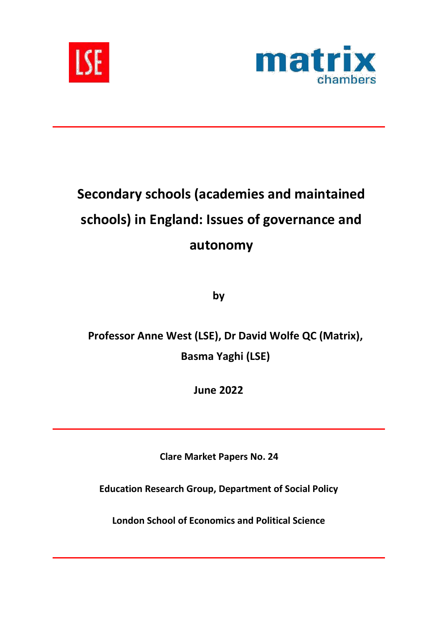



# **Secondary schools (academies and maintained schools) in England: Issues of governance and autonomy**

**by**

**Professor Anne West (LSE), Dr David Wolfe QC (Matrix), Basma Yaghi (LSE)**

**June 2022**

**Clare Market Papers No. 24**

**Education Research Group, Department of Social Policy**

**London School of Economics and Political Science**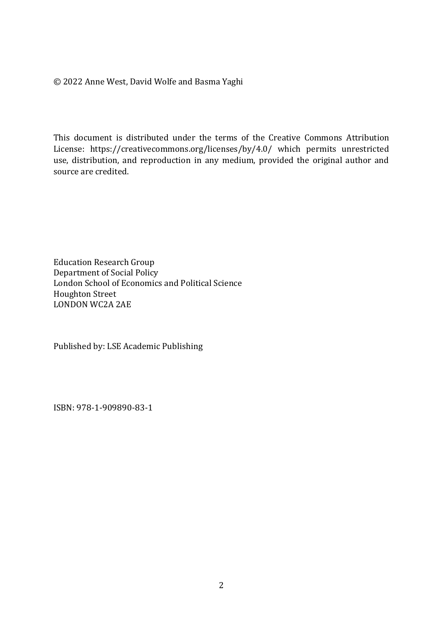© 2022 Anne West, David Wolfe and Basma Yaghi

This document is distributed under the terms of the Creative Commons Attribution License: https://creativecommons.org/licenses/by/4.0/ which permits unrestricted use, distribution, and reproduction in any medium, provided the original author and source are credited.

Education Research Group Department of Social Policy London School of Economics and Political Science Houghton Street LONDON WC2A 2AE

Published by: LSE Academic Publishing

ISBN: 978-1-909890-83-1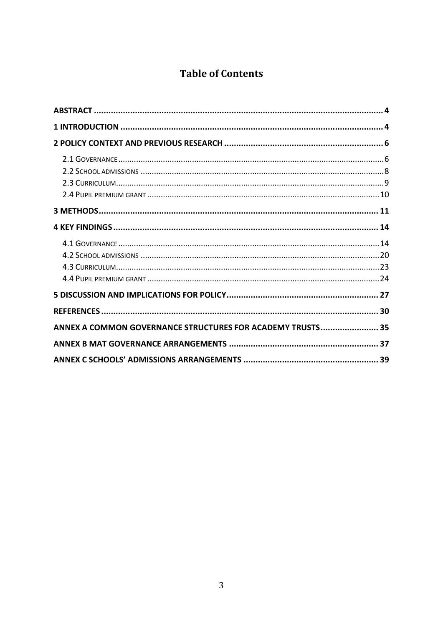## **Table of Contents**

| ANNEX A COMMON GOVERNANCE STRUCTURES FOR ACADEMY TRUSTS 35 |  |
|------------------------------------------------------------|--|
|                                                            |  |
|                                                            |  |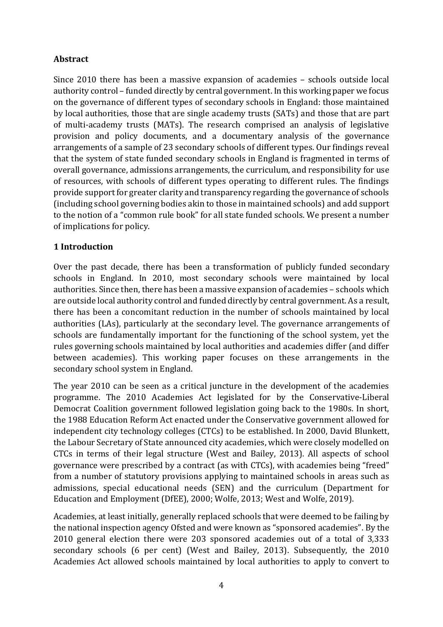## <span id="page-3-0"></span>**Abstract**

Since 2010 there has been a massive expansion of academies – schools outside local authority control – funded directly by central government. In this working paper we focus on the governance of different types of secondary schools in England: those maintained by local authorities, those that are single academy trusts (SATs) and those that are part of multi-academy trusts (MATs). The research comprised an analysis of legislative provision and policy documents, and a documentary analysis of the governance arrangements of a sample of 23 secondary schools of different types. Our findings reveal that the system of state funded secondary schools in England is fragmented in terms of overall governance, admissions arrangements, the curriculum, and responsibility for use of resources, with schools of different types operating to different rules. The findings provide support for greater clarity and transparency regarding the governance of schools (including school governing bodies akin to those in maintained schools) and add support to the notion of a "common rule book" for all state funded schools. We present a number of implications for policy.

## <span id="page-3-1"></span>**1 Introduction**

Over the past decade, there has been a transformation of publicly funded secondary schools in England. In 2010, most secondary schools were maintained by local authorities. Since then, there has been a massive expansion of academies – schools which are outside local authority control and funded directly by central government. As a result, there has been a concomitant reduction in the number of schools maintained by local authorities (LAs), particularly at the secondary level. The governance arrangements of schools are fundamentally important for the functioning of the school system, yet the rules governing schools maintained by local authorities and academies differ (and differ between academies). This working paper focuses on these arrangements in the secondary school system in England.

The year 2010 can be seen as a critical juncture in the development of the academies programme. The 2010 Academies Act legislated for by the Conservative-Liberal Democrat Coalition government followed legislation going back to the 1980s. In short, the 1988 Education Reform Act enacted under the Conservative government allowed for independent city technology colleges (CTCs) to be established. In 2000, David Blunkett, the Labour Secretary of State announced city academies, which were closely modelled on CTCs in terms of their legal structure (West and Bailey, 2013). All aspects of school governance were prescribed by a contract (as with CTCs), with academies being "freed" from a number of statutory provisions applying to maintained schools in areas such as admissions, special educational needs (SEN) and the curriculum (Department for Education and Employment (DfEE), 2000; Wolfe, 2013; West and Wolfe, 2019).

Academies, at least initially, generally replaced schools that were deemed to be failing by the national inspection agency Ofsted and were known as "sponsored academies". By the 2010 general election there were 203 sponsored academies out of a total of 3,333 secondary schools (6 per cent) (West and Bailey, 2013). Subsequently, the 2010 Academies Act allowed schools maintained by local authorities to apply to convert to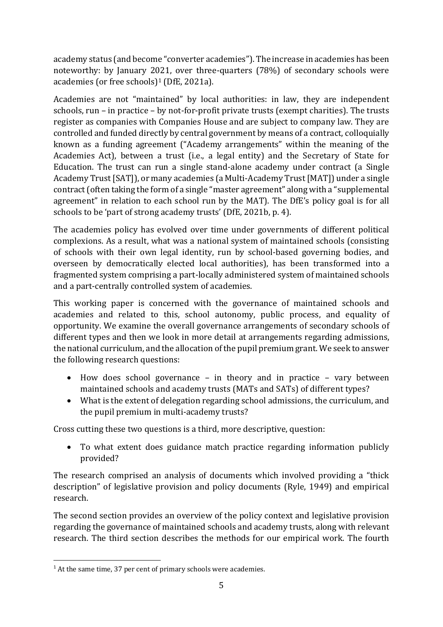academy status (and become "converter academies"). The increase in academies has been noteworthy: by January 2021, over three-quarters (78%) of secondary schools were academies (or free schools)<sup>1</sup> (DfE, 2021a).

Academies are not "maintained" by local authorities: in law, they are independent schools, run – in practice – by not-for-profit private trusts (exempt charities). The trusts register as companies with Companies House and are subject to company law. They are controlled and funded directly by central government by means of a contract, colloquially known as a funding agreement ("Academy arrangements" within the meaning of the Academies Act), between a trust (i.e., a legal entity) and the Secretary of State for Education. The trust can run a single stand-alone academy under contract (a Single Academy Trust [SAT]), or many academies (a Multi-Academy Trust [MAT]) under a single contract(often taking the form of a single "master agreement" along with a "supplemental agreement" in relation to each school run by the MAT). The DfE's policy goal is for all schools to be 'part of strong academy trusts' (DfE, 2021b, p. 4).

The academies policy has evolved over time under governments of different political complexions. As a result, what was a national system of maintained schools (consisting of schools with their own legal identity, run by school-based governing bodies, and overseen by democratically elected local authorities), has been transformed into a fragmented system comprising a part-locally administered system of maintained schools and a part-centrally controlled system of academies.

This working paper is concerned with the governance of maintained schools and academies and related to this, school autonomy, public process, and equality of opportunity. We examine the overall governance arrangements of secondary schools of different types and then we look in more detail at arrangements regarding admissions, the national curriculum, and the allocation of the pupil premium grant. We seek to answer the following research questions:

- How does school governance in theory and in practice vary between maintained schools and academy trusts (MATs and SATs) of different types?
- What is the extent of delegation regarding school admissions, the curriculum, and the pupil premium in multi-academy trusts?

Cross cutting these two questions is a third, more descriptive, question:

• To what extent does guidance match practice regarding information publicly provided?

The research comprised an analysis of documents which involved providing a "thick description" of legislative provision and policy documents (Ryle, 1949) and empirical research.

The second section provides an overview of the policy context and legislative provision regarding the governance of maintained schools and academy trusts, along with relevant research. The third section describes the methods for our empirical work. The fourth

<sup>&</sup>lt;sup>1</sup> At the same time, 37 per cent of primary schools were academies.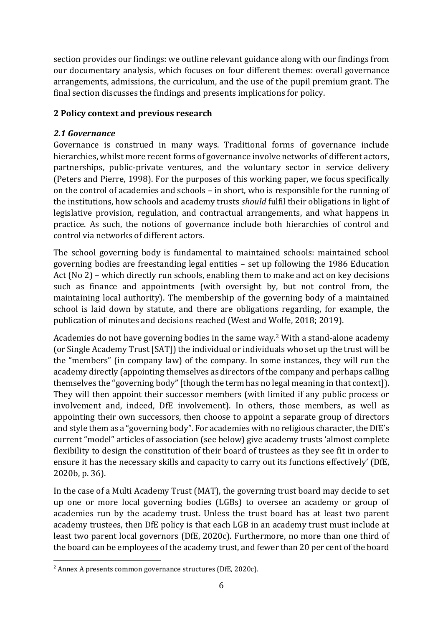section provides our findings: we outline relevant guidance along with our findings from our documentary analysis, which focuses on four different themes: overall governance arrangements, admissions, the curriculum, and the use of the pupil premium grant. The final section discusses the findings and presents implications for policy.

## <span id="page-5-0"></span>**2 Policy context and previous research**

## <span id="page-5-1"></span>*2.1 Governance*

Governance is construed in many ways. Traditional forms of governance include hierarchies, whilst more recent forms of governance involve networks of different actors, partnerships, public-private ventures, and the voluntary sector in service delivery (Peters and Pierre, 1998). For the purposes of this working paper, we focus specifically on the control of academies and schools – in short, who is responsible for the running of the institutions, how schools and academy trusts *should* fulfil their obligations in light of legislative provision, regulation, and contractual arrangements, and what happens in practice. As such, the notions of governance include both hierarchies of control and control via networks of different actors.

The school governing body is fundamental to maintained schools: maintained school governing bodies are freestanding legal entities – set up following the 1986 Education Act (No 2) – which directly run schools, enabling them to make and act on key decisions such as finance and appointments (with oversight by, but not control from, the maintaining local authority). The membership of the governing body of a maintained school is laid down by statute, and there are obligations regarding, for example, the publication of minutes and decisions reached (West and Wolfe, 2018; 2019).

Academies do not have governing bodies in the same way. <sup>2</sup> With a stand-alone academy (or Single Academy Trust [SAT]) the individual or individuals who set up the trust will be the "members" (in company law) of the company. In some instances, they will run the academy directly (appointing themselves as directors of the company and perhaps calling themselves the "governing body" [though the term has no legal meaning in that context]). They will then appoint their successor members (with limited if any public process or involvement and, indeed, DfE involvement). In others, those members, as well as appointing their own successors, then choose to appoint a separate group of directors and style them as a "governing body". For academies with no religious character, the DfE's current "model" articles of association (see below) give academy trusts 'almost complete flexibility to design the constitution of their board of trustees as they see fit in order to ensure it has the necessary skills and capacity to carry out its functions effectively' (DfE, 2020b, p. 36).

In the case of a Multi Academy Trust (MAT), the governing trust board may decide to set up one or more local governing bodies (LGBs) to oversee an academy or group of academies run by the academy trust. Unless the trust board has at least two parent academy trustees, then DfE policy is that each LGB in an academy trust must include at least two parent local governors (DfE, 2020c). Furthermore, no more than one third of the board can be employees of the academy trust, and fewer than 20 per cent of the board

<sup>2</sup> Annex A presents common governance structures (DfE, 2020c).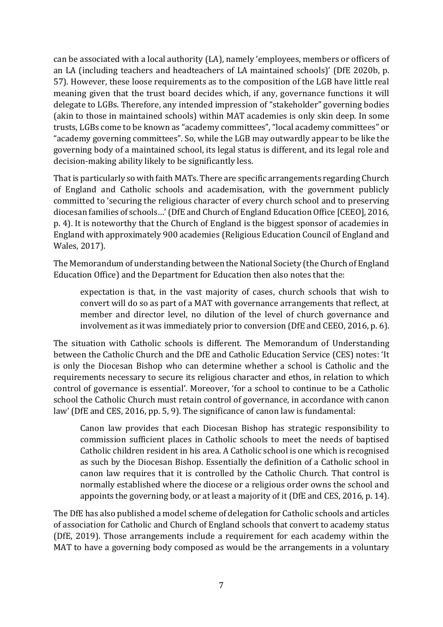can be associated with a local authority (LA), namely 'employees, members or officers of an LA (including teachers and headteachers of LA maintained schools)' (DfE 2020b, p. 57). However, these loose requirements as to the composition of the LGB have little real meaning given that the trust board decides which, if any, governance functions it will delegate to LGBs. Therefore, any intended impression of "stakeholder" governing bodies (akin to those in maintained schools) within MAT academies is only skin deep. In some trusts, LGBs come to be known as "academy committees", "local academy committees" or "academy governing committees". So, while the LGB may outwardly appear to be like the governing body of a maintained school, its legal status is different, and its legal role and decision-making ability likely to be significantly less.

That is particularly so with faith MATs. There are specific arrangements regarding Church of England and Catholic schools and academisation, with the government publicly committed to 'securing the religious character of every church school and to preserving diocesan families of schools…' (DfE and Church of England Education Office [CEEO], 2016, p. 4). It is noteworthy that the Church of England is the biggest sponsor of academies in England with approximately 900 academies (Religious Education Council of England and Wales, 2017).

The Memorandum of understanding between the National Society (the Church of England Education Office) and the Department for Education then also notes that the:

expectation is that, in the vast majority of cases, church schools that wish to convert will do so as part of a MAT with governance arrangements that reflect, at member and director level, no dilution of the level of church governance and involvement as it was immediately prior to conversion (DfE and CEEO, 2016, p. 6).

The situation with Catholic schools is different. The Memorandum of Understanding between the Catholic Church and the DfE and Catholic Education Service (CES) notes: 'It is only the Diocesan Bishop who can determine whether a school is Catholic and the requirements necessary to secure its religious character and ethos, in relation to which control of governance is essential'. Moreover, 'for a school to continue to be a Catholic school the Catholic Church must retain control of governance, in accordance with canon law' (DfE and CES, 2016, pp. 5, 9). The significance of canon law is fundamental:

Canon law provides that each Diocesan Bishop has strategic responsibility to commission sufficient places in Catholic schools to meet the needs of baptised Catholic children resident in his area. A Catholic school is one which is recognised as such by the Diocesan Bishop. Essentially the definition of a Catholic school in canon law requires that it is controlled by the Catholic Church. That control is normally established where the diocese or a religious order owns the school and appoints the governing body, or at least a majority of it (DfE and CES, 2016, p. 14).

The DfE has also published a model scheme of delegation for Catholic schools and articles of association for Catholic and Church of England schools that convert to academy status (DfE, 2019). Those arrangements include a requirement for each academy within the MAT to have a governing body composed as would be the arrangements in a voluntary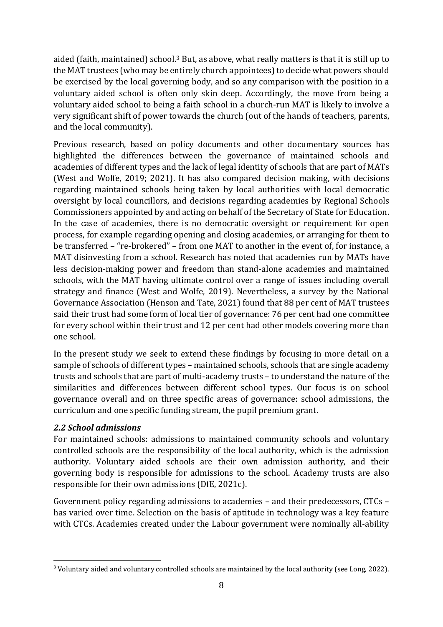aided (faith, maintained) school.<sup>3</sup> But, as above, what really matters is that it is still up to the MAT trustees (who may be entirely church appointees) to decide what powers should be exercised by the local governing body, and so any comparison with the position in a voluntary aided school is often only skin deep. Accordingly, the move from being a voluntary aided school to being a faith school in a church-run MAT is likely to involve a very significant shift of power towards the church (out of the hands of teachers, parents, and the local community).

Previous research, based on policy documents and other documentary sources has highlighted the differences between the governance of maintained schools and academies of different types and the lack of legal identity of schools that are part of MATs (West and Wolfe, 2019; 2021). It has also compared decision making, with decisions regarding maintained schools being taken by local authorities with local democratic oversight by local councillors, and decisions regarding academies by Regional Schools Commissioners appointed by and acting on behalf of the Secretary of State for Education. In the case of academies, there is no democratic oversight or requirement for open process, for example regarding opening and closing academies, or arranging for them to be transferred – "re-brokered" – from one MAT to another in the event of, for instance, a MAT disinvesting from a school. Research has noted that academies run by MATs have less decision-making power and freedom than stand-alone academies and maintained schools, with the MAT having ultimate control over a range of issues including overall strategy and finance (West and Wolfe, 2019). Nevertheless, a survey by the National Governance Association (Henson and Tate, 2021) found that 88 per cent of MAT trustees said their trust had some form of local tier of governance: 76 per cent had one committee for every school within their trust and 12 per cent had other models covering more than one school.

In the present study we seek to extend these findings by focusing in more detail on a sample of schools of different types – maintained schools, schools that are single academy trusts and schools that are part of multi-academy trusts – to understand the nature of the similarities and differences between different school types. Our focus is on school governance overall and on three specific areas of governance: school admissions, the curriculum and one specific funding stream, the pupil premium grant.

#### <span id="page-7-0"></span>*2.2 School admissions*

For maintained schools: admissions to maintained community schools and voluntary controlled schools are the responsibility of the local authority, which is the admission authority. Voluntary aided schools are their own admission authority, and their governing body is responsible for admissions to the school. Academy trusts are also responsible for their own admissions (DfE, 2021c).

Government policy regarding admissions to academies – and their predecessors, CTCs – has varied over time. Selection on the basis of aptitude in technology was a key feature with CTCs. Academies created under the Labour government were nominally all-ability

<sup>&</sup>lt;sup>3</sup> Voluntary aided and voluntary controlled schools are maintained by the local authority (see Long, 2022).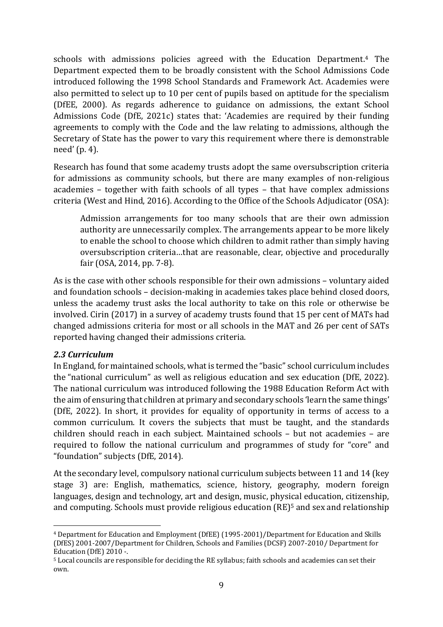schools with admissions policies agreed with the Education Department. <sup>4</sup> The Department expected them to be broadly consistent with the School Admissions Code introduced following the 1998 School Standards and Framework Act. Academies were also permitted to select up to 10 per cent of pupils based on aptitude for the specialism (DfEE, 2000). As regards adherence to guidance on admissions, the extant School Admissions Code (DfE, 2021c) states that: 'Academies are required by their funding agreements to comply with the Code and the law relating to admissions, although the Secretary of State has the power to vary this requirement where there is demonstrable need' (p. 4).

Research has found that some academy trusts adopt the same oversubscription criteria for admissions as community schools, but there are many examples of non-religious academies – together with faith schools of all types – that have complex admissions criteria (West and Hind, 2016). According to the Office of the Schools Adjudicator (OSA):

Admission arrangements for too many schools that are their own admission authority are unnecessarily complex. The arrangements appear to be more likely to enable the school to choose which children to admit rather than simply having oversubscription criteria…that are reasonable, clear, objective and procedurally fair (OSA, 2014, pp. 7-8).

As is the case with other schools responsible for their own admissions – voluntary aided and foundation schools – decision-making in academies takes place behind closed doors, unless the academy trust asks the local authority to take on this role or otherwise be involved. Cirin (2017) in a survey of academy trusts found that 15 per cent of MATs had changed admissions criteria for most or all schools in the MAT and 26 per cent of SATs reported having changed their admissions criteria.

#### <span id="page-8-0"></span>*2.3 Curriculum*

In England, for maintained schools, what is termed the "basic" school curriculum includes the "national curriculum" as well as [religious education and sex education](https://www.gov.uk/national-curriculum/other-compulsory-subjects) (DfE, 2022). The national curriculum was introduced following the 1988 Education Reform Act with the aim of ensuring that children at primary and secondary schools 'learn the same things' (DfE, 2022). In short, it provides for equality of opportunity in terms of access to a common curriculum. It covers the subjects that must be taught, and the standards children should reach in each subject. Maintained schools – but not academies – are required to follow the national curriculum and programmes of study for "core" and "foundation" subjects (DfE, 2014).

At the secondary level, compulsory national curriculum subjects between 11 and 14 (key stage 3) are: English, mathematics, science, history, geography, modern foreign languages, design and technology, art and design, music, physical education, citizenship, and computing. Schools must provide [religious education \(RE\)](https://www.gov.uk/national-curriculum/other-compulsory-subjects)<sup>5</sup> and sex and relationship

<sup>4</sup> Department for Education and Employment (DfEE) (1995-2001)/Department for Education and Skills (DfES) 2001-2007/Department for Children, Schools and Families (DCSF) 2007-2010/ Department for Education (DfE) 2010 -.

<sup>5</sup> Local councils are responsible for deciding the RE syllabus; faith [schools](https://www.gov.uk/types-of-school/faith-schools) and [academies](https://www.gov.uk/types-of-school/academies) can set their own.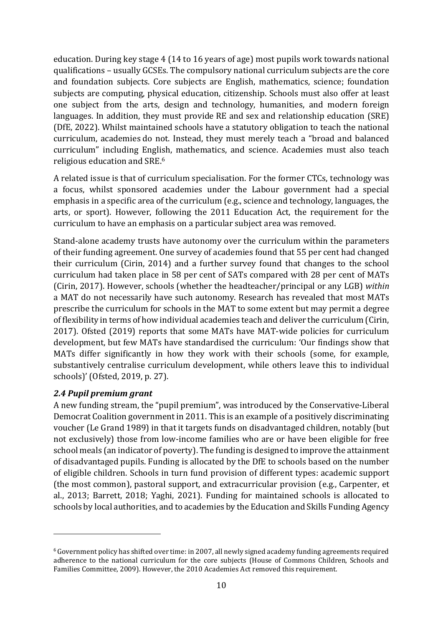[education.](https://www.gov.uk/national-curriculum/other-compulsory-subjects) During key stage 4 (14 to 16 years of age) most pupils work towards national qualifications – usually GCSEs. The compulsory national curriculum subjects are the core and foundation subjects. Core subjects are English, mathematics, science; foundation subjects are computing, physical education, citizenship. Schools must also offer at least one subject from the arts, design and technology, humanities, and modern foreign languages. In addition, they must provide RE and sex [and relationship](https://www.gov.uk/national-curriculum/other-compulsory-subjects) education (SRE) (DfE, 2022). Whilst maintained schools have a statutory obligation to teach the national curriculum, [academies](https://www.gov.uk/types-of-school/academies) do not. Instead, they must merely teach a "broad and balanced curriculum" including English, mathematics, and science. Academies must also teach religious education and SRE.<sup>6</sup>

A related issue is that of curriculum specialisation. For the former CTCs, technology was a focus, whilst sponsored academies under the Labour government had a special emphasis in a specific area of the curriculum (e.g., science and technology, languages, the arts, or sport). However, following the 2011 Education Act, the requirement for the curriculum to have an emphasis on a particular subject area was removed.

Stand-alone academy trusts have autonomy over the curriculum within the parameters of their funding agreement. One survey of academies [found](https://www.gov.uk/government/uploads/system/uploads/attachment_data/file/401455/RR366_-_research_report_academy_autonomy.pdf#page=18) that 55 per cent had changed their curriculum (Cirin, 2014) and a further survey found that changes to the school curriculum had taken place in 58 per cent of SATs compared with 28 per cent of MATs (Cirin, 2017). However, schools (whether the headteacher/principal or any LGB) *within* a MAT do not necessarily have such autonomy. Research has revealed that most MATs prescribe the curriculum for schools in the MAT to some extent but may permit a degree of flexibility in terms of how individual academies teach and deliver the curriculum (Cirin, 2017). Ofsted (2019) reports that some MATs have MAT-wide policies for curriculum development, but few MATs have standardised the curriculum: 'Our findings show that MATs differ significantly in how they work with their schools (some, for example, substantively centralise curriculum development, while others leave this to individual schools)' (Ofsted, 2019, p. 27).

#### <span id="page-9-0"></span>*2.4 Pupil premium grant*

A new funding stream, the "pupil premium", was introduced by the Conservative-Liberal Democrat Coalition government in 2011. This is an example of a positively discriminating voucher (Le Grand 1989) in that it targets funds on disadvantaged children, notably (but not exclusively) those from low-income families who are or have been eligible for free school meals (an indicator of poverty). The funding is designed to improve the attainment of disadvantaged pupils. Funding is allocated by the DfE to schools based on the number of eligible children. Schools in turn fund provision of different types: academic support (the most common), pastoral support, and extracurricular provision (e.g., Carpenter, et al., 2013; Barrett, 2018; Yaghi, 2021). Funding for maintained schools is allocated to schools by local authorities, and to academies by the Education and Skills Funding Agency

<sup>6</sup> Government policy has shifted over time: in 2007, all newly signed academy funding agreements required adherence to the national curriculum for the core subjects (House of Commons Children, Schools and Families Committee, 2009). However, the 2010 Academies Act removed this requirement.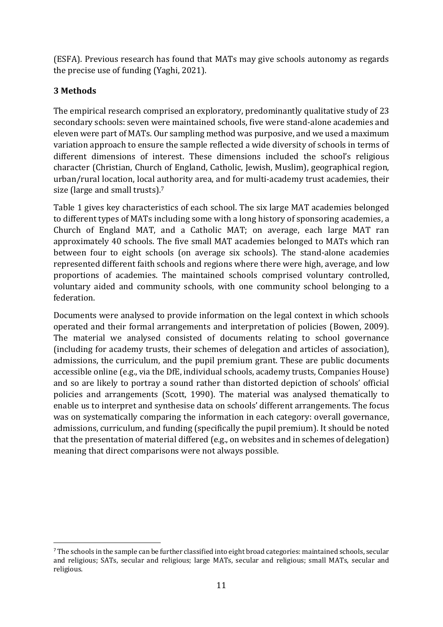(ESFA). Previous research has found that MATs may give schools autonomy as regards the precise use of funding (Yaghi, 2021).

## <span id="page-10-0"></span>**3 Methods**

The empirical research comprised an exploratory, predominantly qualitative study of 23 secondary schools: seven were maintained schools, five were stand-alone academies and eleven were part of MATs. Our sampling method was purposive, and we used a maximum variation approach to ensure the sample reflected a wide diversity of schools in terms of different dimensions of interest. These dimensions included the school's religious character (Christian, Church of England, Catholic, Jewish, Muslim), geographical region, urban/rural location, local authority area, and for multi-academy trust academies, their size (large and small trusts).<sup>7</sup>

Table 1 gives key characteristics of each school. The six large MAT academies belonged to different types of MATs including some with a long history of sponsoring academies, a Church of England MAT, and a Catholic MAT; on average, each large MAT ran approximately 40 schools. The five small MAT academies belonged to MATs which ran between four to eight schools (on average six schools). The stand-alone academies represented different faith schools and regions where there were high, average, and low proportions of academies. The maintained schools comprised voluntary controlled, voluntary aided and community schools, with one community school belonging to a federation.

Documents were analysed to provide information on the legal context in which schools operated and their formal arrangements and interpretation of policies (Bowen, 2009). The material we analysed consisted of documents relating to school governance (including for academy trusts, their schemes of delegation and articles of association), admissions, the curriculum, and the pupil premium grant. These are public documents accessible online (e.g., via the DfE, individual schools, academy trusts, Companies House) and so are likely to portray a sound rather than distorted depiction of schools' official policies and arrangements (Scott, 1990). The material was analysed thematically to enable us to interpret and synthesise data on schools' different arrangements. The focus was on systematically comparing the information in each category: overall governance, admissions, curriculum, and funding (specifically the pupil premium). It should be noted that the presentation of material differed (e.g., on websites and in schemes of delegation) meaning that direct comparisons were not always possible.

 $7$  The schools in the sample can be further classified into eight broad categories: maintained schools, secular and religious; SATs, secular and religious; large MATs, secular and religious; small MATs, secular and religious.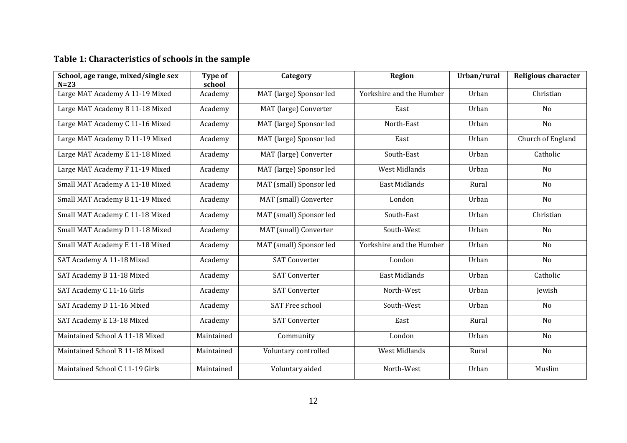## **Table 1: Characteristics of schools in the sample**

| School, age range, mixed/single sex<br>$N=23$ | Type of<br>school | Category                | Region                   | Urban/rural | <b>Religious character</b> |
|-----------------------------------------------|-------------------|-------------------------|--------------------------|-------------|----------------------------|
| Large MAT Academy A 11-19 Mixed               | Academy           | MAT (large) Sponsor led | Yorkshire and the Humber | Urban       | Christian                  |
| Large MAT Academy B 11-18 Mixed               | Academy           | MAT (large) Converter   | East                     | Urban       | N <sub>o</sub>             |
| Large MAT Academy C 11-16 Mixed               | Academy           | MAT (large) Sponsor led | North-East               | Urban       | N <sub>o</sub>             |
| Large MAT Academy D 11-19 Mixed               | Academy           | MAT (large) Sponsor led | East                     | Urban       | Church of England          |
| Large MAT Academy E 11-18 Mixed               | Academy           | MAT (large) Converter   | South-East               | Urban       | Catholic                   |
| Large MAT Academy F 11-19 Mixed               | Academy           | MAT (large) Sponsor led | <b>West Midlands</b>     | Urban       | No                         |
| Small MAT Academy A 11-18 Mixed               | Academy           | MAT (small) Sponsor led | East Midlands            | Rural       | N <sub>o</sub>             |
| Small MAT Academy B 11-19 Mixed               | Academy           | MAT (small) Converter   | London                   | Urban       | No                         |
| Small MAT Academy C 11-18 Mixed               | Academy           | MAT (small) Sponsor led | South-East               | Urban       | Christian                  |
| Small MAT Academy D 11-18 Mixed               | Academy           | MAT (small) Converter   | South-West               | Urban       | N <sub>o</sub>             |
| Small MAT Academy E 11-18 Mixed               | Academy           | MAT (small) Sponsor led | Yorkshire and the Humber | Urban       | No                         |
| SAT Academy A 11-18 Mixed                     | Academy           | <b>SAT Converter</b>    | London                   | Urban       | No                         |
| SAT Academy B 11-18 Mixed                     | Academy           | <b>SAT Converter</b>    | East Midlands            | Urban       | Catholic                   |
| SAT Academy C 11-16 Girls                     | Academy           | <b>SAT Converter</b>    | North-West               | Urban       | Jewish                     |
| SAT Academy D 11-16 Mixed                     | Academy           | <b>SAT Free school</b>  | South-West               | Urban       | No                         |
| SAT Academy E 13-18 Mixed                     | Academy           | <b>SAT Converter</b>    | East                     | Rural       | N <sub>o</sub>             |
| Maintained School A 11-18 Mixed               | Maintained        | Community               | London                   | Urban       | No                         |
| Maintained School B 11-18 Mixed               | Maintained        | Voluntary controlled    | West Midlands            | Rural       | No                         |
| Maintained School C 11-19 Girls               | Maintained        | Voluntary aided         | North-West               | Urban       | Muslim                     |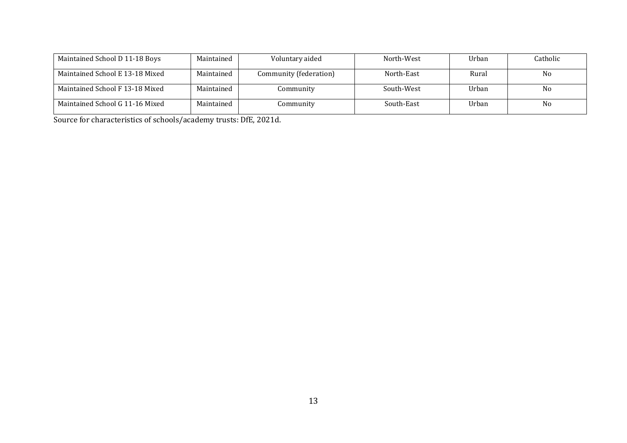| Maintained School D 11-18 Boys  | Maintained | Voluntary aided        | North-West | Urban | Catholic       |
|---------------------------------|------------|------------------------|------------|-------|----------------|
| Maintained School E 13-18 Mixed | Maintained | Community (federation) | North-East | Rural | No.            |
| Maintained School F 13-18 Mixed | Maintained | Community              | South-West | Urban | No             |
| Maintained School G 11-16 Mixed | Maintained | Community              | South-East | Urban | N <sub>0</sub> |

Source for characteristics of schools/academy trusts: DfE, 2021d.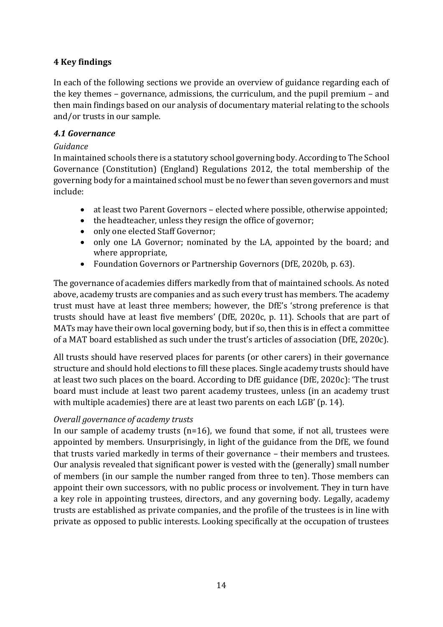## <span id="page-13-0"></span>**4 Key findings**

In each of the following sections we provide an overview of guidance regarding each of the key themes – governance, admissions, the curriculum, and the pupil premium – and then main findings based on our analysis of documentary material relating to the schools and/or trusts in our sample.

#### <span id="page-13-1"></span>*4.1 Governance*

#### *Guidance*

In maintained schools there is a statutory school governing body. According to The School Governance (Constitution) (England) Regulations 2012, the total membership of the governing body for a maintained school must be no fewer than seven governors and must include:

- at least two Parent Governors elected where possible, otherwise appointed;
- the headteacher, unless they resign the office of governor;
- only one elected Staff Governor;
- only one LA Governor; nominated by the LA, appointed by the board; and where appropriate,
- Foundation Governors or Partnership Governors (DfE, 2020b, p. 63).

The governance of academies differs markedly from that of maintained schools. As noted above, academy trusts are companies and as such every trust has members. The academy trust must have at least three members; however, the DfE's 'strong preference is that trusts should have at least five members' (DfE, 2020c, p. 11). Schools that are part of MATs may have their own local governing body, but if so, then this is in effect a committee of a MAT board established as such under the trust's articles of association (DfE, 2020c).

All trusts should have reserved places for parents (or other carers) in their governance structure and should hold elections to fill these places. Single academy trusts should have at least two such places on the board. According to DfE guidance (DfE, 2020c): 'The trust board must include at least two parent academy trustees, unless (in an academy trust with multiple academies) there are at least two parents on each LGB' (p. 14).

#### *Overall governance of academy trusts*

In our sample of academy trusts  $(n=16)$ , we found that some, if not all, trustees were appointed by members. Unsurprisingly, in light of the guidance from the DfE, we found that trusts varied markedly in terms of their governance – their members and trustees. Our analysis revealed that significant power is vested with the (generally) small number of members (in our sample the number ranged from three to ten). Those members can appoint their own successors, with no public process or involvement. They in turn have a key role in appointing trustees, directors, and any governing body. Legally, academy trusts are established as private companies, and the profile of the trustees is in line with private as opposed to public interests. Looking specifically at the occupation of trustees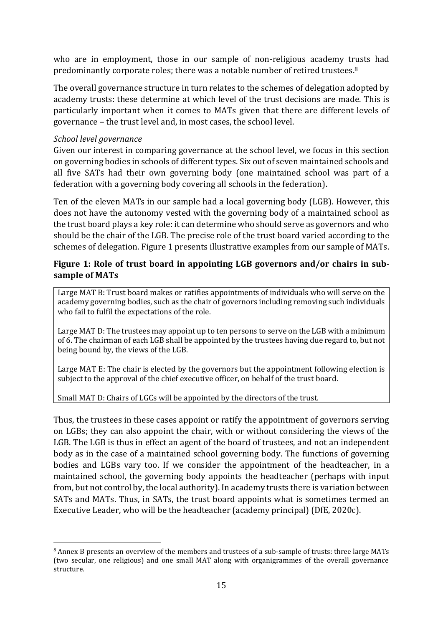who are in employment, those in our sample of non-religious academy trusts had predominantly corporate roles; there was a notable number of retired trustees.<sup>8</sup>

The overall governance structure in turn relates to the schemes of delegation adopted by academy trusts: these determine at which level of the trust decisions are made. This is particularly important when it comes to MATs given that there are different levels of governance – the trust level and, in most cases, the school level.

#### *School level governance*

Given our interest in comparing governance at the school level, we focus in this section on governing bodies in schools of different types. Six out of seven maintained schools and all five SATs had their own governing body (one maintained school was part of a federation with a governing body covering all schools in the federation).

Ten of the eleven MATs in our sample had a local governing body (LGB). However, this does not have the autonomy vested with the governing body of a maintained school as the trust board plays a key role: it can determine who should serve as governors and who should be the chair of the LGB. The precise role of the trust board varied according to the schemes of delegation. Figure 1 presents illustrative examples from our sample of MATs.

#### **Figure 1: Role of trust board in appointing LGB governors and/or chairs in subsample of MATs**

Large MAT B: Trust board makes or ratifies appointments of individuals who will serve on the academy governing bodies, such as the chair of governors including removing such individuals who fail to fulfil the expectations of the role.

Large MAT D: The trustees may appoint up to ten persons to serve on the LGB with a minimum of 6. The chairman of each LGB shall be appointed by the trustees having due regard to, but not being bound by, the views of the LGB.

Large MAT E: The chair is elected by the governors but the appointment following election is subject to the approval of the chief executive officer, on behalf of the trust board.

#### Small MAT D: Chairs of LGCs will be appointed by the directors of the trust.

Thus, the trustees in these cases appoint or ratify the appointment of governors serving on LGBs; they can also appoint the chair, with or without considering the views of the LGB. The LGB is thus in effect an agent of the board of trustees, and not an independent body as in the case of a maintained school governing body. The functions of governing bodies and LGBs vary too. If we consider the appointment of the headteacher, in a maintained school, the governing body appoints the headteacher (perhaps with input from, but not control by, the local authority). In academy trusts there is variation between SATs and MATs. Thus, in SATs, the trust board appoints what is sometimes termed an Executive Leader, who will be the headteacher (academy principal) (DfE, 2020c).

<sup>8</sup> Annex B presents an overview of the members and trustees of a sub-sample of trusts: three large MATs (two secular, one religious) and one small MAT along with organigrammes of the overall governance structure.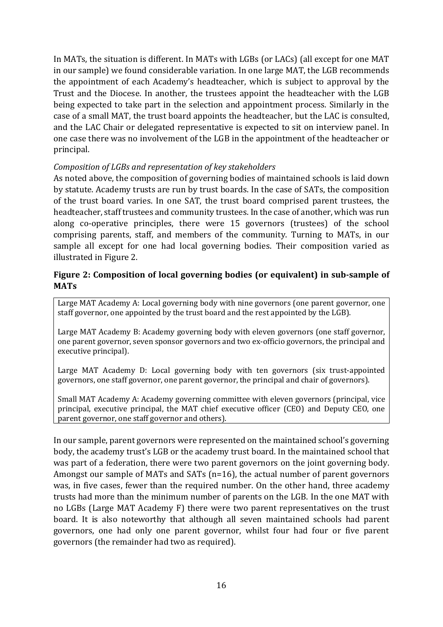In MATs, the situation is different. In MATs with LGBs (or LACs) (all except for one MAT in our sample) we found considerable variation. In one large MAT, the LGB recommends the appointment of each Academy's headteacher, which is subject to approval by the Trust and the Diocese. In another, the trustees appoint the headteacher with the LGB being expected to take part in the selection and appointment process. Similarly in the case of a small MAT, the trust board appoints the headteacher, but the LAC is consulted, and the LAC Chair or delegated representative is expected to sit on interview panel. In one case there was no involvement of the LGB in the appointment of the headteacher or principal.

#### *Composition of LGBs and representation of key stakeholders*

As noted above, the composition of governing bodies of maintained schools is laid down by statute. Academy trusts are run by trust boards. In the case of SATs, the composition of the trust board varies. In one SAT, the trust board comprised parent trustees, the headteacher, staff trustees and community trustees. In the case of another, which was run along co-operative principles, there were 15 governors (trustees) of the school comprising parents, staff, and members of the community. Turning to MATs, in our sample all except for one had local governing bodies. Their composition varied as illustrated in Figure 2.

#### **Figure 2: Composition of local governing bodies (or equivalent) in sub-sample of MATs**

Large MAT Academy A: Local governing body with nine governors (one parent governor, one staff governor, one appointed by the trust board and the rest appointed by the LGB).

Large MAT Academy B: Academy governing body with eleven governors (one staff governor, one parent governor, seven sponsor governors and two ex-officio governors, the principal and executive principal).

Large MAT Academy D: Local governing body with ten governors (six trust-appointed governors, one staff governor, one parent governor, the principal and chair of governors).

Small MAT Academy A: Academy governing committee with eleven governors (principal, vice principal, executive principal, the MAT chief executive officer (CEO) and Deputy CEO, one parent governor, one staff governor and others).

In our sample, parent governors were represented on the maintained school's governing body, the academy trust's LGB or the academy trust board. In the maintained school that was part of a federation, there were two parent governors on the joint governing body. Amongst our sample of MATs and SATs (n=16), the actual number of parent governors was, in five cases, fewer than the required number. On the other hand, three academy trusts had more than the minimum number of parents on the LGB. In the one MAT with no LGBs (Large MAT Academy F) there were two parent representatives on the trust board. It is also noteworthy that although all seven maintained schools had parent governors, one had only one parent governor, whilst four had four or five parent governors (the remainder had two as required).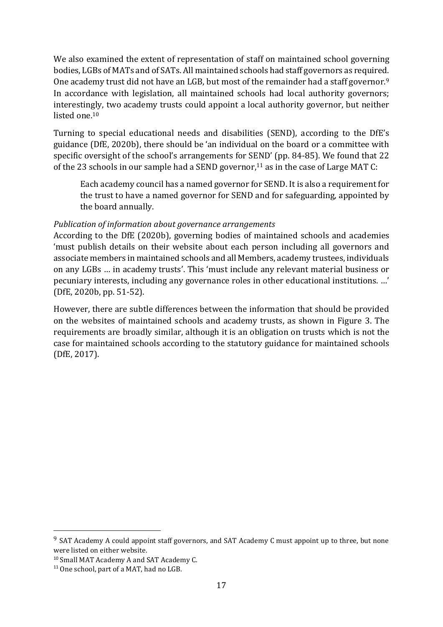We also examined the extent of representation of staff on maintained school governing bodies, LGBs of MATs and of SATs. All maintained schools had staff governors as required. One academy trust did not have an LGB, but most of the remainder had a staff governor.<sup>9</sup> In accordance with legislation, all maintained schools had local authority governors; interestingly, two academy trusts could appoint a local authority governor, but neither listed one.<sup>10</sup>

Turning to special educational needs and disabilities (SEND), according to the DfE's guidance (DfE, 2020b), there should be 'an individual on the board or a committee with specific oversight of the school's arrangements for SEND' (pp. 84-85). We found that 22 of the 23 schools in our sample had a SEND governor,<sup>11</sup> as in the case of Large MAT C:

Each academy council has [a named governor](https://static1.squarespace.com/static/5b3cc2548f5130df897ee8b8/t/618bcfa52e30f454dcec4b86/1636552614819/AC+TOR+V8.pdf) for SEND. It is also a requirement for the trust to have a named governor for SEND and for safeguarding, appointed by the board annually.

#### *Publication of information about governance arrangements*

According to the DfE (2020b), governing bodies of maintained schools and academies 'must publish details on their website about each person including all governors and associate members in maintained schools and all Members, academy trustees, individuals on any LGBs … in academy trusts'. This 'must include any relevant material business or pecuniary interests, including any governance roles in other educational institutions. …' (DfE, 2020b, pp. 51-52).

However, there are subtle differences between the information that should be provided on the websites of maintained schools and academy trusts, as shown in Figure 3. The requirements are broadly similar, although it is an obligation on trusts which is not the case for maintained schools according to the statutory guidance for maintained schools (DfE, 2017).

<sup>&</sup>lt;sup>9</sup> SAT Academy A could appoint staff governors, and SAT Academy C must appoint up to three, but none were listed on either website.

<sup>10</sup> Small MAT Academy A and SAT Academy C.

<sup>&</sup>lt;sup>11</sup> One school, part of a MAT, had no LGB.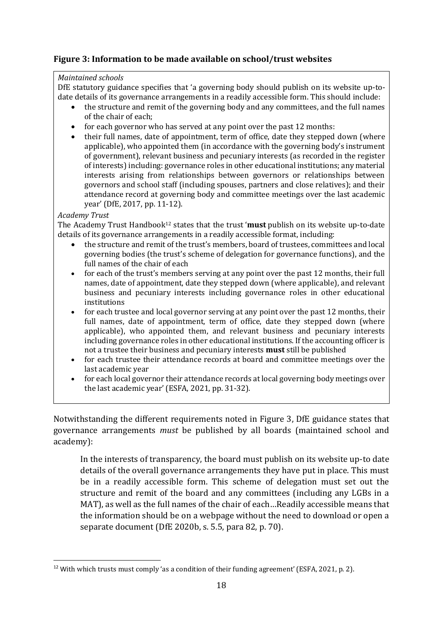## **Figure 3: Information to be made available on school/trust websites**

#### *Maintained schools*

DfE statutory guidance specifies that 'a governing body should publish on its website up-todate details of its governance arrangements in a readily accessible form. This should include:

- the structure and remit of the governing body and any committees, and the full names of the chair of each;
- for each governor who has served at any point over the past 12 months:
- their full names, date of appointment, term of office, date they stepped down (where applicable), who appointed them (in accordance with the governing body's instrument of government), relevant business and pecuniary interests (as recorded in the register of interests) including: governance roles in other educational institutions; any material interests arising from relationships between governors or relationships between governors and school staff (including spouses, partners and close relatives); and their attendance record at governing body and committee meetings over the last academic year' (DfE, 2017, pp. 11-12).

#### *Academy Trust*

The Academy Trust Handbook<sup>12</sup> states that the trust '**must** publish on its website up-to-date details of its governance arrangements in a readily accessible format, including:

- the structure and remit of the trust's members, board of trustees, committees and local governing bodies (the trust's scheme of delegation for governance functions), and the full names of the chair of each
- for each of the trust's members serving at any point over the past 12 months, their full names, date of appointment, date they stepped down (where applicable), and relevant business and pecuniary interests including governance roles in other educational institutions
- for each trustee and local governor serving at any point over the past 12 months, their full names, date of appointment, term of office, date they stepped down (where applicable), who appointed them, and relevant business and pecuniary interests including governance roles in other educational institutions. If the accounting officer is not a trustee their business and pecuniary interests **must** still be published
- for each trustee their attendance records at board and committee meetings over the last academic year
- for each local governor their attendance records at local governing body meetings over the last academic year' (ESFA, 2021, pp. 31-32).

Notwithstanding the different requirements noted in Figure 3, DfE guidance states that governance arrangements *must* be published by all boards (maintained school and academy):

In the interests of transparency, the board must publish on its website up-to date details of the overall governance arrangements they have put in place. This must be in a readily accessible form. This scheme of delegation must set out the structure and remit of the board and any committees (including any LGBs in a MAT), as well as the full names of the chair of each…Readily accessible means that the information should be on a webpage without the need to download or open a separate document (DfE 2020b, s. 5.5, para 82, p. 70).

<sup>&</sup>lt;sup>12</sup> With which trusts must comply 'as a condition of their funding agreement' (ESFA, 2021, p. 2).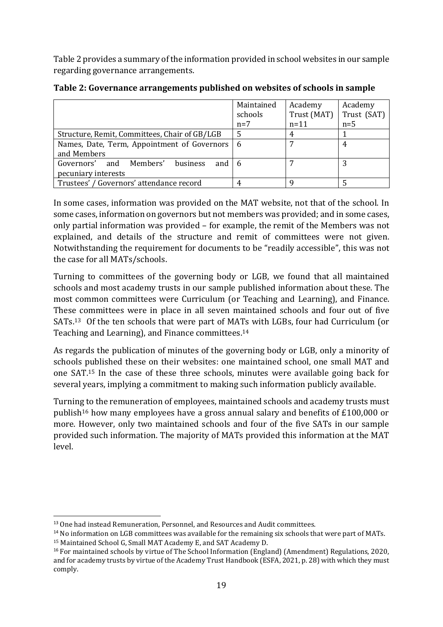Table 2 provides a summary of the information provided in school websites in our sample regarding governance arrangements.

|                                                           | Maintained | Academy     | Academy     |
|-----------------------------------------------------------|------------|-------------|-------------|
|                                                           | schools    | Trust (MAT) | Trust (SAT) |
|                                                           | $n=7$      | $n=11$      | $n=5$       |
| Structure, Remit, Committees, Chair of GB/LGB             |            |             |             |
| Names, Date, Term, Appointment of Governors               | -6         |             | 4           |
| and Members                                               |            |             |             |
| Governors' and Members'<br>business<br>and $\overline{6}$ |            |             |             |
| pecuniary interests                                       |            |             |             |
| Trustees' / Governors' attendance record                  |            |             |             |

**Table 2: Governance arrangements published on websites of schools in sample**

In some cases, information was provided on the MAT website, not that of the school. In some cases, information on governors but not members was provided; and in some cases, only partial information was provided – for example, the remit of the Members was not explained, and details of the structure and remit of committees were not given. Notwithstanding the requirement for documents to be "readily accessible", this was not the case for all MATs/schools.

Turning to committees of the governing body or LGB, we found that all maintained schools and most academy trusts in our sample published information about these. The most common committees were Curriculum (or Teaching and Learning), and Finance. These committees were in place in all seven maintained schools and four out of five SATs. <sup>13</sup> Of the ten schools that were part of MATs with LGBs, four had Curriculum (or Teaching and Learning), and Finance committees. 14

As regards the publication of minutes of the governing body or LGB, only a minority of schools published these on their websites: one maintained school, one small MAT and one SAT.<sup>15</sup> In the case of these three schools, minutes were available going back for several years, implying a commitment to making such information publicly available.

Turning to the remuneration of employees, maintained schools and academy trusts must publish<sup>16</sup> how many employees have a gross annual salary and benefits of £100,000 or more. However, only two maintained schools and four of the five SATs in our sample provided such information. The majority of MATs provided this information at the MAT level.

<sup>13</sup> One had instead Remuneration, Personnel, and Resources and Audit committees.

<sup>&</sup>lt;sup>14</sup> No information on LGB committees was available for the remaining six schools that were part of MATs.

<sup>15</sup> Maintained School G, Small MAT Academy E, and SAT Academy D.

<sup>16</sup> For maintained schools by virtue of The School Information (England) (Amendment) Regulations, 2020, and for academy trusts by virtue of the Academy Trust Handbook (ESFA, 2021, p. 28) with which they must comply.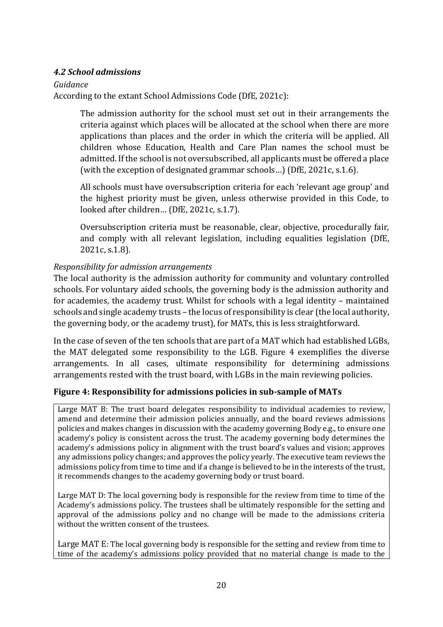#### <span id="page-19-0"></span>*4.2 School admissions*

#### *Guidance*

According to the extant School Admissions Code (DfE, 2021c):

The admission authority for the school must set out in their arrangements the criteria against which places will be allocated at the school when there are more applications than places and the order in which the criteria will be applied. All children whose Education, Health and Care Plan names the school must be admitted. If the school is not oversubscribed, all applicants must be offered a place (with the exception of designated grammar schools…) (DfE, 2021c, s.1.6).

All schools must have oversubscription criteria for each 'relevant age group' and the highest priority must be given, unless otherwise provided in this Code, to looked after children… (DfE, 2021c, s.1.7).

Oversubscription criteria must be reasonable, clear, objective, procedurally fair, and comply with all relevant legislation, including equalities legislation (DfE, 2021c, s.1.8).

#### *Responsibility for admission arrangements*

The local authority is the admission authority for community and voluntary controlled schools. For voluntary aided schools, the governing body is the admission authority and for academies, the academy trust. Whilst for schools with a legal identity – maintained schools and single academy trusts – the locus of responsibility is clear (the local authority, the governing body, or the academy trust), for MATs, this is less straightforward.

In the case of seven of the ten schools that are part of a MAT which had established LGBs, the MAT delegated some responsibility to the LGB. Figure 4 exemplifies the diverse arrangements. In all cases, ultimate responsibility for determining admissions arrangements rested with the trust board, with LGBs in the main reviewing policies.

#### **Figure 4: Responsibility for admissions policies in sub-sample of MATs**

Large MAT B: The trust board delegates responsibility to individual academies to review, amend and determine their admission policies annually, and the board reviews admissions policies and makes changes in discussion with the academy governing Body e.g., to ensure one academy's policy is consistent across the trust. The academy governing body determines the academy's admissions policy in alignment with the trust board's values and vision; approves any admissions policy changes; and approves the policy yearly. The executive team reviews the admissions policy from time to time and if a change is believed to be in the interests of the trust, it recommends changes to the academy governing body or trust board.

Large MAT D: The local governing body is responsible for the review from time to time of the Academy's admissions policy. The trustees shall be ultimately responsible for the setting and approval of the admissions policy and no change will be made to the admissions criteria without the written consent of the trustees.

Large MAT E: The local governing body is responsible for the setting and review from time to time of the academy's admissions policy provided that no material change is made to the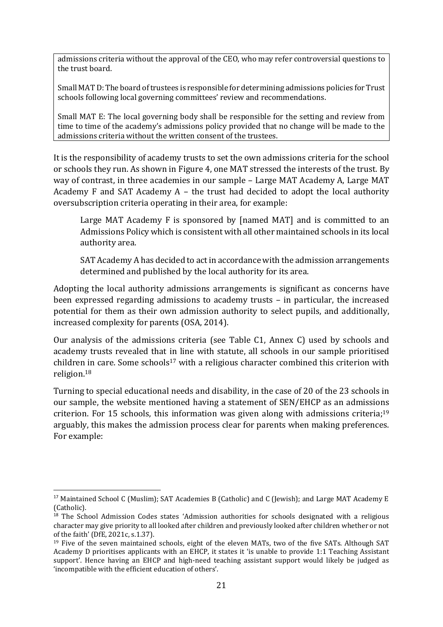admissions criteria without the approval of the CEO, who may refer controversial questions to the trust board.

Small MAT D: The board of trustees is responsible for determining admissions policies for Trust schools following local governing committees' review and recommendations.

Small MAT E: The local governing body shall be responsible for the setting and review from time to time of the academy's admissions policy provided that no change will be made to the admissions criteria without the written consent of the trustees.

It is the responsibility of academy trusts to set the own admissions criteria for the school or schools they run. As shown in Figure 4, one MAT stressed the interests of the trust. By way of contrast, in three academies in our sample – Large MAT Academy A, Large MAT Academy F and SAT Academy A – the trust had decided to adopt the local authority oversubscription criteria operating in their area, for example:

Large MAT Academy F is sponsored by [named MAT] and is committed to an Admissions Policy which is consistent with all other maintained schools in its local authority area.

[SAT Academy A](https://www.hollandparkschool.co.uk/) has decided to act in accordance with the admission arrangements determined and published by the local authority for its area.

Adopting the local authority admissions arrangements is significant as concerns have been expressed regarding admissions to academy trusts – in particular, the increased potential for them as their own admission authority to select pupils, and additionally, increased complexity for parents (OSA, 2014).

Our analysis of the admissions criteria (see Table C1, Annex C) used by schools and academy trusts revealed that in line with statute, all schools in our sample prioritised children in care. Some schools<sup>17</sup> with a religious character combined this criterion with religion. 18

Turning to special educational needs and disability, in the case of 20 of the 23 schools in our sample, the website mentioned having a statement of SEN/EHCP as an admissions criterion. For 15 schools, this information was given along with admissions criteria;<sup>19</sup> arguably, this makes the admission process clear for parents when making preferences. For example:

<sup>&</sup>lt;sup>17</sup> Maintained School C (Muslim); SAT Academies B (Catholic) and C (Jewish); and Large MAT Academy E (Catholic).

<sup>&</sup>lt;sup>18</sup> The School Admission Codes states 'Admission authorities for schools designated with a religious character may give priority to all looked after children and previously looked after children whether or not of the faith' (DfE, 2021c, s.1.37).

<sup>19</sup> Five of the seven maintained schools, eight of the eleven MATs, two of the five SATs. Although SAT Academy D prioritises applicants with an EHCP, it states it 'is unable to provide 1:1 Teaching Assistant support'. Hence having an EHCP and high-need teaching assistant support would likely be judged as 'incompatible with the efficient education of others'.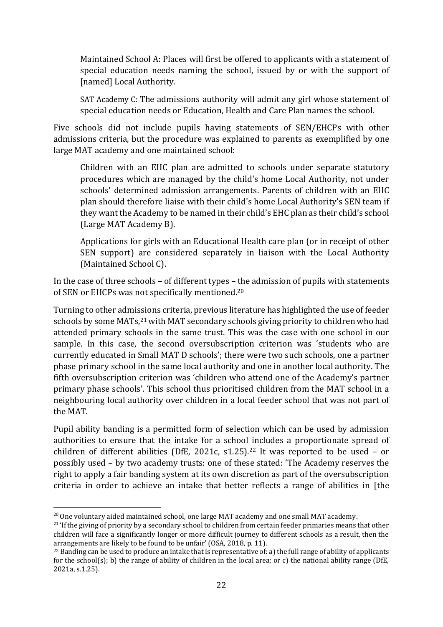Maintained School A: Places will first be offered to applicants with a statement of special education needs naming the school, issued by or with the support of [named] Local Authority.

SAT Academy C: The admissions authority will admit any girl whose statement of special education needs or Education, Health and Care Plan names the school.

Five schools did not include pupils having statements of SEN/EHCPs with other admissions criteria, but the procedure was explained to parents as exemplified by one large MAT academy and one maintained school:

Children with an EHC plan are admitted to schools under separate statutory procedures which are managed by the child's home Local Authority, not under schools' determined admission arrangements. Parents of children with an EHC plan should therefore liaise with their child's home Local Authority's SEN team if they want the Academy to be named in their child's EHC plan as their child's school (Large MAT Academy B).

Applications for girls with an Educational Health care plan (or in receipt of other SEN support) are considered separately in liaison with the Local Authority (Maintained School C).

In the case of three schools – of different types – the admission of pupils with statements of SEN or EHCPs was not specifically mentioned.<sup>20</sup>

Turning to other admissions criteria, previous literature has highlighted the use of feeder schools by some MATs,<sup>21</sup> with MAT secondary schools giving priority to children who had attended primary schools in the same trust. This was the case with one school in our sample. In this case, the second oversubscription criterion was 'students who are currently educated in Small MAT D schools'; there were two such schools, one a partner phase primary school in the same local authority and one in another local authority. The fifth oversubscription criterion was 'children who attend one of the Academy's partner primary phase schools'. This school thus prioritised children from the MAT school in a neighbouring local authority over children in a local feeder school that was not part of the MAT.

Pupil ability banding is a permitted form of selection which can be used by admission authorities to ensure that the intake for a school includes a proportionate spread of children of different abilities (DfE, 2021c, s1.25). <sup>22</sup> It was reported to be used – or possibly used – by two academy trusts: one of these stated: 'The Academy reserves the right to apply a fair banding system at its own discretion as part of the oversubscription criteria in order to achieve an intake that better reflects a range of abilities in [the

<sup>&</sup>lt;sup>20</sup> One voluntary aided maintained school, one large MAT academy and one small MAT academy.

 $21$  'If the giving of priority by a secondary school to children from certain feeder primaries means that other children will face a significantly longer or more difficult journey to different schools as a result, then the arrangements are likely to be found to be unfair' (OSA, 2018, p. 11).

<sup>22</sup> Banding can be used to produce an intake that is representative of: a) the full range of ability of applicants for the school(s); b) the range of ability of children in the local area; or c) the national ability range (DfE, 2021a, s.1.25).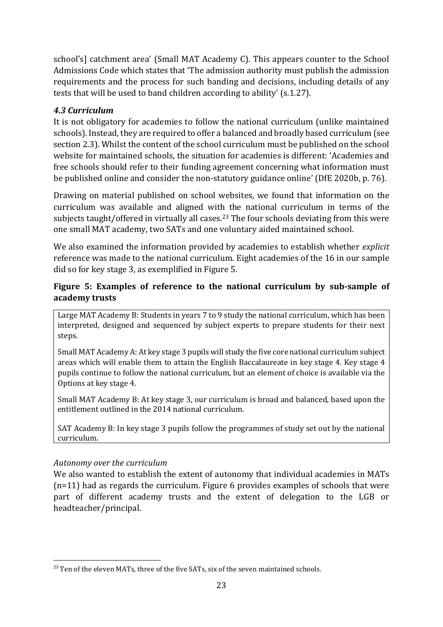school's] catchment area' (Small MAT Academy C). This appears counter to the School Admissions Code which states that 'The admission authority must publish the admission requirements and the process for such banding and decisions, including details of any tests that will be used to band children according to ability' (s.1.27).

## <span id="page-22-0"></span>*4.3 Curriculum*

It is not obligatory for academies to follow the national curriculum (unlike maintained schools). Instead, they are required to offer a balanced and broadly based curriculum (see section 2.3). Whilst the content of the school curriculum must be published on the school website for maintained schools, the situation for academies is different: 'Academies and free schools should refer to their funding agreement concerning what information must be published online and consider the non-statutory guidance online' (DfE 2020b, p. 76).

Drawing on material published on school websites, we found that information on the curriculum was available and aligned with the national curriculum in terms of the subjects taught/offered in virtually all cases.<sup>23</sup> The four schools deviating from this were one small MAT academy, two SATs and one voluntary aided maintained school.

We also examined the information provided by academies to establish whether *explicit*  reference was made to the national curriculum. Eight academies of the 16 in our sample did so for key stage 3, as exemplified in Figure 5.

## **Figure 5: Examples of reference to the national curriculum by sub-sample of academy trusts**

Large MAT Academy B: Students in years 7 to 9 study the national curriculum, which has been interpreted, designed and sequenced by subject experts to prepare students for their next steps.

Small MAT Academy A: At key stage 3 pupils will study the five core national curriculum subject areas which will enable them to attain the English Baccalaureate in key stage 4. Key stage 4 pupils continue to follow the national curriculum, but an element of choice is available via the Options at key stage 4.

Small MAT Academy B: At key stage 3, our curriculum is broad and balanced, based upon the entitlement outlined in the 2014 national curriculum.

SAT Academy B: In key stage 3 pupils follow the programmes of study set out by the national curriculum.

#### *Autonomy over the curriculum*

We also wanted to establish the extent of autonomy that individual academies in MATs (n=11) had as regards the curriculum. Figure 6 provides examples of schools that were part of different academy trusts and the extent of delegation to the LGB or headteacher/principal.

<sup>&</sup>lt;sup>23</sup> Ten of the eleven MATs, three of the five SATs, six of the seven maintained schools.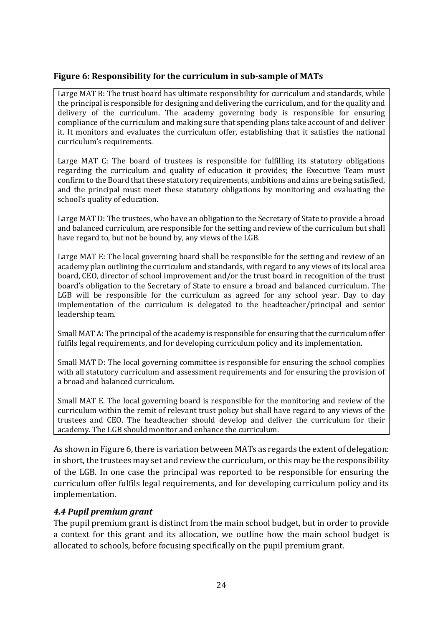#### **Figure 6: Responsibility for the curriculum in sub-sample of MATs**

Large MAT B: The trust board has ultimate responsibility for curriculum and standards, while the principal is responsible for designing and delivering the curriculum, and for the quality and delivery of the curriculum. The academy governing body is responsible for ensuring compliance of the curriculum and making sure that spending plans take account of and deliver it. It monitors and evaluates the curriculum offer, establishing that it satisfies the national curriculum's requirements.

Large MAT C: The board of trustees is responsible for fulfilling its statutory obligations regarding the curriculum and quality of education it provides; the Executive Team must confirm to the Board that these statutory requirements, ambitions and aims are being satisfied, and the principal must meet these statutory obligations by monitoring and evaluating the school's quality of education.

Large MAT D: The trustees, who have an obligation to the Secretary of State to provide a broad and balanced curriculum, are responsible for the setting and review of the curriculum but shall have regard to, but not be bound by, any views of the LGB.

Large MAT E: The local governing board shall be responsible for the setting and review of an academy plan outlining the curriculum and standards, with regard to any views of its local area board, CEO, director of school improvement and/or the trust board in recognition of the trust board's obligation to the Secretary of State to ensure a broad and balanced curriculum. The LGB will be responsible for the curriculum as agreed for any school year. Day to day implementation of the curriculum is delegated to the headteacher/principal and senior leadership team.

Small MAT A: The principal of the academy is responsible for ensuring that the curriculum offer fulfils legal requirements, and for developing curriculum policy and its implementation.

Small MAT D: The local governing committee is responsible for ensuring the school complies with all statutory curriculum and assessment requirements and for ensuring the provision of a broad and balanced curriculum.

Small MAT E. The local governing board is responsible for the monitoring and review of the curriculum within the remit of relevant trust policy but shall have regard to any views of the trustees and CEO. The headteacher should develop and deliver the curriculum for their academy. The LGB should monitor and enhance the curriculum.

As shown in Figure 6, there is variation between MATs as regards the extent of delegation: in short, the trustees may set and review the curriculum, or this may be the responsibility of the LGB. In one case the principal was reported to be responsible for ensuring the curriculum offer fulfils legal requirements, and for developing curriculum policy and its implementation.

#### <span id="page-23-0"></span>*4.4 Pupil premium grant*

The pupil premium grant is distinct from the main school budget, but in order to provide a context for this grant and its allocation, we outline how the main school budget is allocated to schools, before focusing specifically on the pupil premium grant.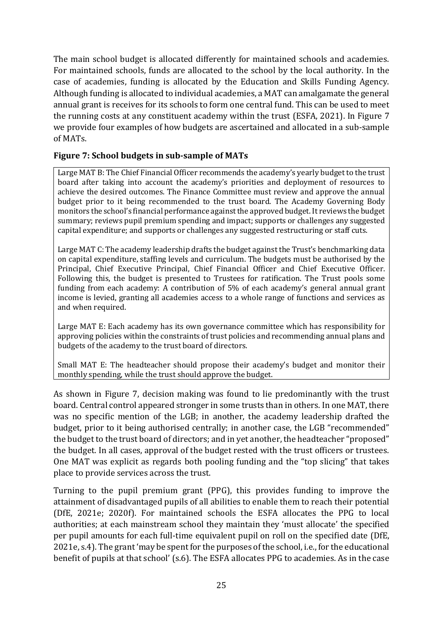The main school budget is allocated differently for maintained schools and academies. For maintained schools, funds are allocated to the school by the local authority. In the case of academies, funding is allocated by the Education and Skills Funding Agency. Although funding is allocated to individual academies, a MAT can amalgamate the general annual grant is receives for its schools to form one central fund. This can be used to meet the running costs at any constituent academy within the trust (ESFA, 2021). In Figure 7 we provide four examples of how budgets are ascertained and allocated in a sub-sample of MATs.

#### **Figure 7: School budgets in sub-sample of MATs**

Large MAT B: The Chief Financial Officer recommends the academy's yearly budget to the trust board after taking into account the academy's priorities and deployment of resources to achieve the desired outcomes. The Finance Committee must review and approve the annual budget prior to it being recommended to the trust board. The Academy Governing Body monitors the school's financial performance against the approved budget. It reviews the budget summary; reviews pupil premium spending and impact; supports or challenges any suggested capital expenditure; and supports or challenges any suggested restructuring or staff cuts.

Large MAT C: The academy leadership drafts the budget against the Trust's benchmarking data on capital expenditure, staffing levels and curriculum. The budgets must be authorised by the Principal, Chief Executive Principal, Chief Financial Officer and Chief Executive Officer. Following this, the budget is presented to Trustees for ratification. The Trust pools some funding from each academy: A contribution of 5% of each academy's general annual grant income is levied, granting all academies access to a whole range of functions and services as and when required.

Large MAT E: Each academy has its own governance committee which has responsibility for approving policies within the constraints of trust policies and recommending annual plans and budgets of the academy to the trust board of directors.

Small MAT E: The headteacher should propose their academy's budget and monitor their monthly spending, while the trust should approve the budget.

As shown in Figure 7, decision making was found to lie predominantly with the trust board. Central control appeared stronger in some trusts than in others. In one MAT, there was no specific mention of the LGB; in another, the academy leadership drafted the budget, prior to it being authorised centrally; in another case, the LGB "recommended" the budget to the trust board of directors; and in yet another, the headteacher "proposed" the budget. In all cases, approval of the budget rested with the trust officers or trustees. One MAT was explicit as regards both pooling funding and the "top slicing" that takes place to provide services across the trust.

Turning to the pupil premium grant (PPG), this provides funding to improve the attainment of disadvantaged pupils of all abilities to enable them to reach their potential (DfE, 2021e; 2020f). For maintained schools the ESFA allocates the PPG to local authorities; at each mainstream school they maintain they 'must allocate' the specified per pupil amounts for each full-time equivalent pupil on roll on the specified date (DfE, 2021e, s.4). The grant 'may be spent for the purposes of the school, i.e., for the educational benefit of pupils at that school' (s.6). The ESFA allocates PPG to academies. As in the case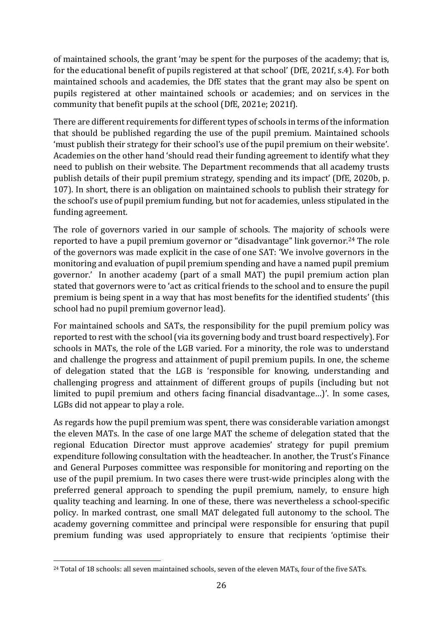of maintained schools, the grant 'may be spent for the purposes of the academy; that is, for the educational benefit of pupils registered at that school' (DfE, 2021f, s.4). For both maintained schools and academies, the DfE states that the grant may also be spent on pupils registered at other maintained schools or academies; and on services in the community that benefit pupils at the school (DfE, 2021e; 2021f).

There are different requirements for different types of schools in terms of the information that should be published regarding the use of the pupil premium. Maintained schools 'must publish their strategy for their school's use of the pupil premium on their website'. Academies on the other hand 'should read their funding agreement to identify what they need to publish on their website. The Department recommends that all academy trusts publish details of their pupil premium strategy, spending and its impact' (DfE, 2020b, p. 107). In short, there is an obligation on maintained schools to publish their strategy for the school's use of pupil premium funding, but not for academies, unless stipulated in the funding agreement.

The role of governors varied in our sample of schools. The majority of schools were reported to have a pupil premium governor or "disadvantage" link governor. <sup>24</sup> The role of the governors was made explicit in the case of one SAT: 'We involve governors in the monitoring and evaluation of pupil premium spending and have a named pupil premium governor.' In another academy (part of a small MAT) the pupil premium action plan stated that governors were to 'act as critical friends to the school and to ensure the pupil premium is being spent in a way that has most benefits for the identified students' (this school had no pupil premium governor lead).

For maintained schools and SATs, the responsibility for the pupil premium policy was reported to rest with the school(via its governing body and trust board respectively). For schools in MATs, the role of the LGB varied. For a minority, the role was to understand and challenge the progress and attainment of pupil premium pupils. In one, the scheme of delegation stated that the LGB is 'responsible for knowing, understanding and challenging progress and attainment of different groups of pupils (including but not limited to pupil premium and others facing financial disadvantage…)'. In some cases, LGBs did not appear to play a role.

As regards how the pupil premium was spent, there was considerable variation amongst the eleven MATs. In the case of one large MAT the scheme of delegation stated that the regional Education Director must approve academies' strategy for pupil premium expenditure following consultation with the headteacher. In another, the Trust's Finance and General Purposes committee was responsible for monitoring and reporting on the use of the pupil premium. In two cases there were trust-wide principles along with the preferred general approach to spending the pupil premium, namely, to ensure high quality teaching and learning. In one of these, there was nevertheless a school-specific policy. In marked contrast, one small MAT delegated full autonomy to the school. The academy governing committee and principal were responsible for ensuring that pupil premium funding was used appropriately to ensure that recipients 'optimise their

<sup>&</sup>lt;sup>24</sup> Total of 18 schools: all seven maintained schools, seven of the eleven MATs, four of the five SATs.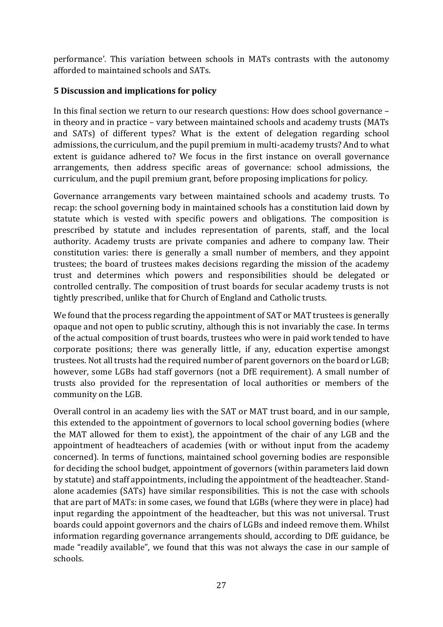performance'. This variation between schools in MATs contrasts with the autonomy afforded to maintained schools and SATs.

## <span id="page-26-0"></span>**5 Discussion and implications for policy**

In this final section we return to our research questions: How does school governance – in theory and in practice – vary between maintained schools and academy trusts (MATs and SATs) of different types? What is the extent of delegation regarding school admissions, the curriculum, and the pupil premium in multi-academy trusts? And to what extent is guidance adhered to? We focus in the first instance on overall governance arrangements, then address specific areas of governance: school admissions, the curriculum, and the pupil premium grant, before proposing implications for policy.

Governance arrangements vary between maintained schools and academy trusts. To recap: the school governing body in maintained schools has a constitution laid down by statute which is vested with specific powers and obligations. The composition is prescribed by statute and includes representation of parents, staff, and the local authority. Academy trusts are private companies and adhere to company law. Their constitution varies: there is generally a small number of members, and they appoint trustees; the board of trustees makes decisions regarding the mission of the academy trust and determines which powers and responsibilities should be delegated or controlled centrally. The composition of trust boards for secular academy trusts is not tightly prescribed, unlike that for Church of England and Catholic trusts.

We found that the process regarding the appointment of SAT or MAT trustees is generally opaque and not open to public scrutiny, although this is not invariably the case. In terms of the actual composition of trust boards, trustees who were in paid work tended to have corporate positions; there was generally little, if any, education expertise amongst trustees. Not all trusts had the required number of parent governors on the board or LGB; however, some LGBs had staff governors (not a DfE requirement). A small number of trusts also provided for the representation of local authorities or members of the community on the LGB.

Overall control in an academy lies with the SAT or MAT trust board, and in our sample, this extended to the appointment of governors to local school governing bodies (where the MAT allowed for them to exist), the appointment of the chair of any LGB and the appointment of headteachers of academies (with or without input from the academy concerned). In terms of functions, maintained school governing bodies are responsible for deciding the school budget, appointment of governors (within parameters laid down by statute) and staff appointments, including the appointment of the headteacher. Standalone academies (SATs) have similar responsibilities. This is not the case with schools that are part of MATs: in some cases, we found that LGBs (where they were in place) had input regarding the appointment of the headteacher, but this was not universal. Trust boards could appoint governors and the chairs of LGBs and indeed remove them. Whilst information regarding governance arrangements should, according to DfE guidance, be made "readily available", we found that this was not always the case in our sample of schools.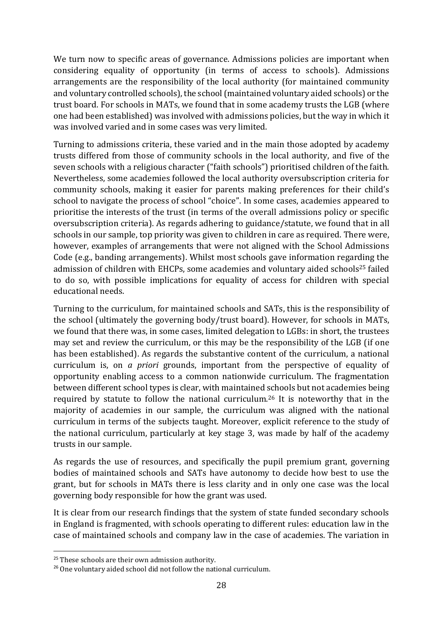We turn now to specific areas of governance. Admissions policies are important when considering equality of opportunity (in terms of access to schools). Admissions arrangements are the responsibility of the local authority (for maintained community and voluntary controlled schools), the school (maintained voluntary aided schools) or the trust board. For schools in MATs, we found that in some academy trusts the LGB (where one had been established) was involved with admissions policies, but the way in which it was involved varied and in some cases was very limited.

Turning to admissions criteria, these varied and in the main those adopted by academy trusts differed from those of community schools in the local authority, and five of the seven schools with a religious character ("faith schools") prioritised children of the faith. Nevertheless, some academies followed the local authority oversubscription criteria for community schools, making it easier for parents making preferences for their child's school to navigate the process of school "choice". In some cases, academies appeared to prioritise the interests of the trust (in terms of the overall admissions policy or specific oversubscription criteria). As regards adhering to guidance/statute, we found that in all schools in our sample, top priority was given to children in care as required. There were, however, examples of arrangements that were not aligned with the School Admissions Code (e.g., banding arrangements). Whilst most schools gave information regarding the admission of children with EHCPs, some academies and voluntary aided schools<sup>25</sup> failed to do so, with possible implications for equality of access for children with special educational needs.

Turning to the curriculum, for maintained schools and SATs, this is the responsibility of the school (ultimately the governing body/trust board). However, for schools in MATs, we found that there was, in some cases, limited delegation to LGBs: in short, the trustees may set and review the curriculum, or this may be the responsibility of the LGB (if one has been established). As regards the substantive content of the curriculum, a national curriculum is, on *a priori* grounds, important from the perspective of equality of opportunity enabling access to a common nationwide curriculum. The fragmentation between different school types is clear, with maintained schools but not academies being required by statute to follow the national curriculum. <sup>26</sup> It is noteworthy that in the majority of academies in our sample, the curriculum was aligned with the national curriculum in terms of the subjects taught. Moreover, explicit reference to the study of the national curriculum, particularly at key stage 3, was made by half of the academy trusts in our sample.

As regards the use of resources, and specifically the pupil premium grant, governing bodies of maintained schools and SATs have autonomy to decide how best to use the grant, but for schools in MATs there is less clarity and in only one case was the local governing body responsible for how the grant was used.

It is clear from our research findings that the system of state funded secondary schools in England is fragmented, with schools operating to different rules: education law in the case of maintained schools and company law in the case of academies. The variation in

<sup>&</sup>lt;sup>25</sup> These schools are their own admission authority.

<sup>&</sup>lt;sup>26</sup> One voluntary aided school did not follow the national curriculum.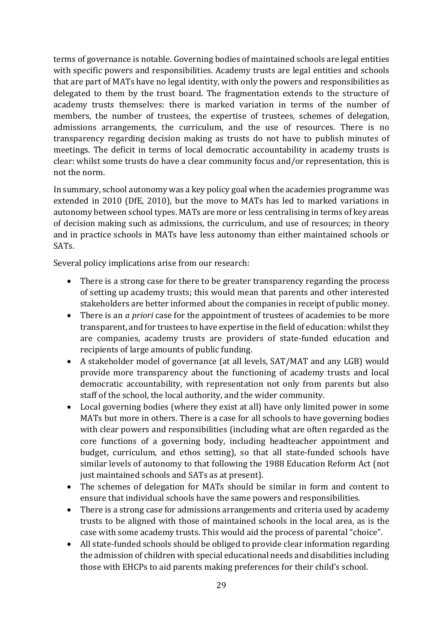terms of governance is notable. Governing bodies of maintained schools are legal entities with specific powers and responsibilities. Academy trusts are legal entities and schools that are part of MATs have no legal identity, with only the powers and responsibilities as delegated to them by the trust board. The fragmentation extends to the structure of academy trusts themselves: there is marked variation in terms of the number of members, the number of trustees, the expertise of trustees, schemes of delegation, admissions arrangements, the curriculum, and the use of resources. There is no transparency regarding decision making as trusts do not have to publish minutes of meetings. The deficit in terms of local democratic accountability in academy trusts is clear: whilst some trusts do have a clear community focus and/or representation, this is not the norm.

In summary, school autonomy was a key policy goal when the academies programme was extended in 2010 (DfE, 2010), but the move to MATs has led to marked variations in autonomy between school types. MATs are more or less centralising in terms of key areas of decision making such as admissions, the curriculum, and use of resources; in theory and in practice schools in MATs have less autonomy than either maintained schools or SATs.

Several policy implications arise from our research:

- There is a strong case for there to be greater transparency regarding the process of setting up academy trusts; this would mean that parents and other interested stakeholders are better informed about the companies in receipt of public money.
- There is an *a priori* case for the appointment of trustees of academies to be more transparent, and for trustees to have expertise in the field of education: whilst they are companies, academy trusts are providers of state-funded education and recipients of large amounts of public funding.
- A stakeholder model of governance (at all levels, SAT/MAT and any LGB) would provide more transparency about the functioning of academy trusts and local democratic accountability, with representation not only from parents but also staff of the school, the local authority, and the wider community.
- Local governing bodies (where they exist at all) have only limited power in some MATs but more in others. There is a case for all schools to have governing bodies with clear powers and responsibilities (including what are often regarded as the core functions of a governing body, including headteacher appointment and budget, curriculum, and ethos setting), so that all state-funded schools have similar levels of autonomy to that following the 1988 Education Reform Act (not just maintained schools and SATs as at present).
- The schemes of delegation for MATs should be similar in form and content to ensure that individual schools have the same powers and responsibilities.
- There is a strong case for admissions arrangements and criteria used by academy trusts to be aligned with those of maintained schools in the local area, as is the case with some academy trusts. This would aid the process of parental "choice".
- All state-funded schools should be obliged to provide clear information regarding the admission of children with special educational needs and disabilities including those with EHCPs to aid parents making preferences for their child's school.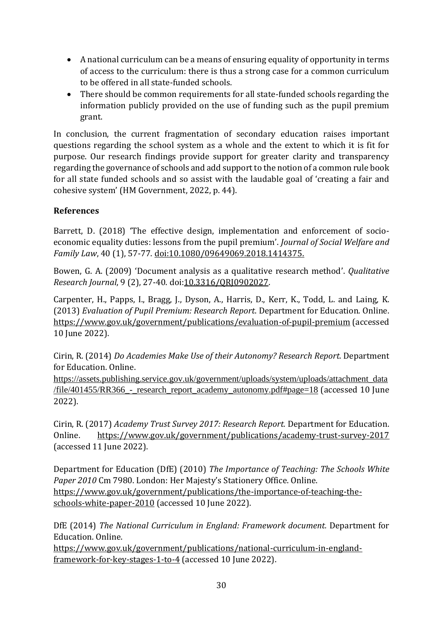- A national curriculum can be a means of ensuring equality of opportunity in terms of access to the curriculum: there is thus a strong case for a common curriculum to be offered in all state-funded schools.
- There should be common requirements for all state-funded schools regarding the information publicly provided on the use of funding such as the pupil premium grant.

In conclusion, the current fragmentation of secondary education raises important questions regarding the school system as a whole and the extent to which it is fit for purpose. Our research findings provide support for greater clarity and transparency regarding the governance of schools and add support to the notion of a common rule book for all state funded schools and so assist with the laudable goal of 'creating a fair and cohesive system' (HM Government, 2022, p. 44).

## <span id="page-29-0"></span>**References**

Barrett, D. (2018) 'The effective design, implementation and enforcement of socioeconomic equality duties: lessons from the pupil premium'. *Journal of Social Welfare and Family Law*, 40 (1), 57-77. [doi:10.1080/09649069.2018.1414375.](https://www.tandfonline.com/doi/abs/10.1080/09649069.2018.1414375?journalCode=rjsf20)

Bowen, G. A. (2009) 'Document analysis as a qualitative research method'. *Qualitative Research Journal*, 9 (2), 27-40. doi[:10.3316/QRJ0902027.](https://doi.org/10.3316/QRJ0902027)

Carpenter, H., Papps, I., Bragg, J., Dyson, A., Harris, D., Kerr, K., Todd, L. and Laing, K. (2013) *Evaluation of Pupil Premium: Research Report*. Department for Education. Online. <https://www.gov.uk/government/publications/evaluation-of-pupil-premium> (accessed 10 June 2022).

Cirin, R. (2014) *Do Academies Make Use of their Autonomy? Research Report.* Department for Education. Online.

h[ttps://assets.publishing.service.gov.uk/government/uploads/system/uploads/attachment\\_data](https://assets.publishing.service.gov.uk/government/uploads/system/uploads/attachment_data/file/401455/RR366_-_research_report_academy_autonomy.pdf#page=18) [/file/401455/RR366\\_-\\_research\\_report\\_academy\\_autonomy.pdf#page=18](https://assets.publishing.service.gov.uk/government/uploads/system/uploads/attachment_data/file/401455/RR366_-_research_report_academy_autonomy.pdf#page=18) (accessed 10 June 2022).

Cirin, R. (2017) *Academy Trust Survey 2017: Research Report.* Department for Education. Online. <https://www.gov.uk/government/publications/academy-trust-survey-2017> (accessed 11 June 2022).

Department for Education (DfE) (2010) *The Importance of Teaching: The Schools White Paper 2010* Cm 7980. London: Her Majesty's Stationery Office. Online. [https://www.gov.uk/government/publications/the-importance-of-teaching-the](https://www.gov.uk/government/publications/the-importance-of-teaching-the-schools-white-paper-2010)[schools-white-paper-2010](https://www.gov.uk/government/publications/the-importance-of-teaching-the-schools-white-paper-2010) (accessed 10 June 2022).

DfE (2014) *The National Curriculum in England: Framework document.* Department for Education. Online.

[https://www.gov.uk/government/publications/national-curriculum-in-england](https://www.gov.uk/government/publications/national-curriculum-in-england-framework-for-key-stages-1-to-4)[framework-for-key-stages-1-to-4](https://www.gov.uk/government/publications/national-curriculum-in-england-framework-for-key-stages-1-to-4) (accessed 10 June 2022).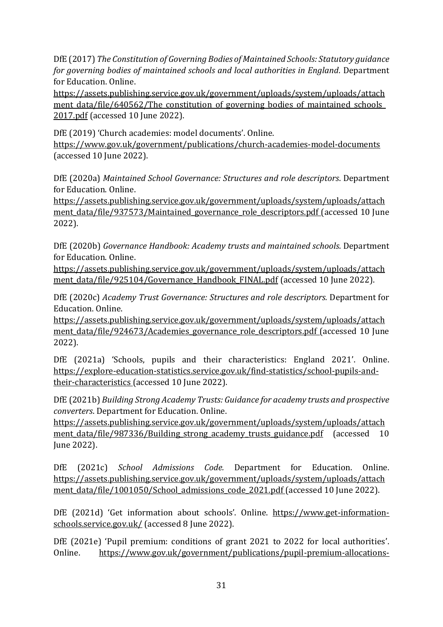DfE (2017) *The Constitution of Governing Bodies of Maintained Schools: Statutory guidance for governing bodies of maintained schools and local authorities in England.* Department for Education. Online.

[https://assets.publishing.service.gov.uk/government/uploads/system/uploads/attach](https://assets.publishing.service.gov.uk/government/uploads/system/uploads/attachment_data/file/640562/The_constitution_of_governing_bodies_of_maintained_schools_2017.pdf) ment data/file/640562/The constitution of governing bodies of maintained schools [2017.pdf](https://assets.publishing.service.gov.uk/government/uploads/system/uploads/attachment_data/file/640562/The_constitution_of_governing_bodies_of_maintained_schools_2017.pdf) (accessed 10 June 2022).

DfE (2019) 'Church academies: model documents'. Online. <https://www.gov.uk/government/publications/church-academies-model-documents> (accessed 10 June 2022).

DfE (2020a) *Maintained School Governance: Structures and role descriptors*. Department for Education. Online.

[https://assets.publishing.service.gov.uk/government/uploads/system/uploads/attach](https://assets.publishing.service.gov.uk/government/uploads/system/uploads/attachment_data/file/937573/Maintained_governance_role_descriptors.pdf) ment data/file/937573/Maintained governance role descriptors.pdf (accessed 10 June 2022).

DfE (2020b) *Governance Handbook: Academy trusts and maintained schools*. Department for Education. Online.

[https://assets.publishing.service.gov.uk/government/uploads/system/uploads/attach](https://assets.publishing.service.gov.uk/government/uploads/system/uploads/attachment_data/file/925104/Governance_Handbook_FINAL.pdf) [ment\\_data/file/925104/Governance\\_Handbook\\_FINAL.pdf](https://assets.publishing.service.gov.uk/government/uploads/system/uploads/attachment_data/file/925104/Governance_Handbook_FINAL.pdf) (accessed 10 June 2022).

DfE (2020c) *Academy Trust Governance: Structures and role descriptors.* Department for Education. Online.

[https://assets.publishing.service.gov.uk/government/uploads/system/uploads/attach](https://assets.publishing.service.gov.uk/government/uploads/system/uploads/attachment_data/file/924673/Academies_governance_role_descriptors.pdf) ment data/file/924673/Academies governance role descriptors.pdf (accessed 10 June 2022).

DfE (2021a) 'Schools, pupils and their characteristics: England 2021'. Online. [https://explore-education-statistics.service.gov.uk/find-statistics/school-pupils-and](https://explore-education-statistics.service.gov.uk/find-statistics/school-pupils-and-their-characteristics)[their-characteristics](https://explore-education-statistics.service.gov.uk/find-statistics/school-pupils-and-their-characteristics) (accessed 10 June 2022).

DfE (2021b) *Building Strong Academy Trusts: Guidance for academy trusts and prospective converters*. Department for Education. Online.

[https://assets.publishing.service.gov.uk/government/uploads/system/uploads/attach](https://assets.publishing.service.gov.uk/government/uploads/system/uploads/attachment_data/file/987336/Building_strong_academy_trusts_guidance.pdf) ment data/file/987336/Building strong academy trusts guidance.pdf (accessed 10 June 2022).

DfE (2021c) *School Admissions Code.* Department for Education. Online. [https://assets.publishing.service.gov.uk/government/uploads/system/uploads/attach](https://assets.publishing.service.gov.uk/government/uploads/system/uploads/attachment_data/file/1001050/School_admissions_code_2021.pdf) [ment\\_data/file/1001050/School\\_admissions\\_code\\_2021.pdf](https://assets.publishing.service.gov.uk/government/uploads/system/uploads/attachment_data/file/1001050/School_admissions_code_2021.pdf) (accessed 10 June 2022).

DfE (2021d) 'Get information about schools'. Online. [https://www.get-information](https://www.get-information-schools.service.gov.uk/)[schools.service.gov.uk/](https://www.get-information-schools.service.gov.uk/) (accessed 8 June 2022).

DfE (2021e) 'Pupil premium: conditions of grant 2021 to 2022 for local authorities'. Online. [https://www.gov.uk/government/publications/pupil-premium-allocations-](https://www.gov.uk/government/publications/pupil-premium-allocations-and-conditions-of-grant-2021-to-2022/pupil-premium-conditions-of-grant-2021-to-2022-for-local-authorities)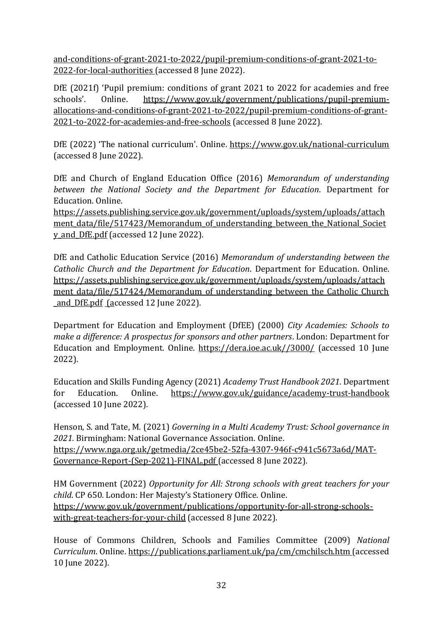[and-conditions-of-grant-2021-to-2022/pupil-premium-conditions-of-grant-2021-to-](https://www.gov.uk/government/publications/pupil-premium-allocations-and-conditions-of-grant-2021-to-2022/pupil-premium-conditions-of-grant-2021-to-2022-for-local-authorities)[2022-for-local-authorities](https://www.gov.uk/government/publications/pupil-premium-allocations-and-conditions-of-grant-2021-to-2022/pupil-premium-conditions-of-grant-2021-to-2022-for-local-authorities) (accessed 8 June 2022).

DfE (2021f) 'Pupil premium: conditions of grant 2021 to 2022 for academies and free schools'. Online. [https://www.gov.uk/government/publications/pupil-premium](https://www.gov.uk/government/publications/pupil-premium-allocations-and-conditions-of-grant-2021-to-2022/pupil-premium-conditions-of-grant-2021-to-2022-for-academies-and-free-schools)[allocations-and-conditions-of-grant-2021-to-2022/pupil-premium-conditions-of-grant-](https://www.gov.uk/government/publications/pupil-premium-allocations-and-conditions-of-grant-2021-to-2022/pupil-premium-conditions-of-grant-2021-to-2022-for-academies-and-free-schools)[2021-to-2022-for-academies-and-free-schools](https://www.gov.uk/government/publications/pupil-premium-allocations-and-conditions-of-grant-2021-to-2022/pupil-premium-conditions-of-grant-2021-to-2022-for-academies-and-free-schools) (accessed 8 June 2022).

DfE (2022) 'The national curriculum'. Online. <https://www.gov.uk/national-curriculum> (accessed 8 June 2022).

DfE and Church of England Education Office (2016) *Memorandum of understanding between the National Society and the Department for Education*. Department for Education. Online.

https://assets.publishing.service.gov.uk/government/uploads/system/uploads/attach ment data/file/517423/Memorandum of understanding between the National Societ y and DfE.pdf (accessed 12 June 2022).

DfE and Catholic Education Service (2016) *Memorandum of understanding between the Catholic Church and the Department for Education*. Department for Education. Online. [https://assets.publishing.service.gov.uk/government/uploads/system/uploads/attach](https://assets.publishing.service.gov.uk/government/uploads/system/uploads/attachment_data/file/517424/Memorandum_of_understanding_between_the_Catholic_Church_and_DfE.pdf) ment data/file/517424/Memorandum of understanding between the Catholic Church and DfE.pdf (accessed 12 June 2022).

Department for Education and Employment (DfEE) (2000) *City Academies: Schools to make a difference: A prospectus for sponsors and other partners*. London: Department for Education and Employment. Online. [https://dera.ioe.ac.uk//3000/](https://dera.ioe.ac.uk/3000/) (accessed 10 June 2022).

Education and Skills Funding Agency (2021) *Academy Trust Handbook 2021*. Department for Education. Online. <https://www.gov.uk/guidance/academy-trust-handbook> (accessed 10 June 2022).

Henson, S. and Tate, M. (2021) *Governing in a Multi Academy Trust: School governance in 2021.* Birmingham: National Governance Association. Online. [https://www.nga.org.uk/getmedia/2ce45be2-52fa-4307-946f-c941c5673a6d/MAT-](https://www.nga.org.uk/getmedia/2ce45be2-52fa-4307-946f-c941c5673a6d/MAT-Governance-Report-(Sep-2021)-FINAL.pdf)[Governance-Report-\(Sep-2021\)-FINAL.pdf](https://www.nga.org.uk/getmedia/2ce45be2-52fa-4307-946f-c941c5673a6d/MAT-Governance-Report-(Sep-2021)-FINAL.pdf) (accessed 8 June 2022).

HM Government (2022) *Opportunity for All: Strong schools with great teachers for your child*. CP 650. London: Her Majesty's Stationery Office. Online. [https://www.gov.uk/government/publications/opportunity-for-all-strong-schools](https://www.gov.uk/government/publications/opportunity-for-all-strong-schools-with-great-teachers-for-your-child)[with-great-teachers-for-your-child](https://www.gov.uk/government/publications/opportunity-for-all-strong-schools-with-great-teachers-for-your-child) (accessed 8 June 2022).

House of Commons Children, Schools and Families Committee (2009) *National Curriculum*. Online. <https://publications.parliament.uk/pa/cm/cmchilsch.htm> (accessed 10 June 2022).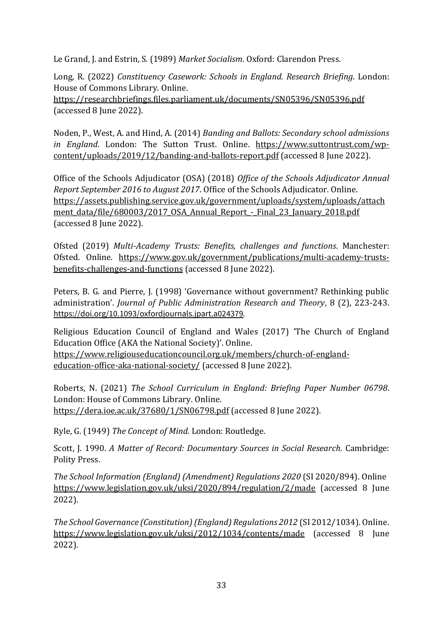Le Grand, J. and Estrin, S. (1989) *Market Socialism*. Oxford: Clarendon Press.

Long, R. (2022) *Constituency Casework: Schools in England. Research Briefing*. London: House of Commons Library. Online.

<https://researchbriefings.files.parliament.uk/documents/SN05396/SN05396.pdf> (accessed 8 June 2022).

Noden, P., West, A. and Hind, A. (2014) *Banding and Ballots: Secondary school admissions in England*. London: The Sutton Trust. Online. [https://www.suttontrust.com/wp](https://www.suttontrust.com/wp-content/uploads/2019/12/banding-and-ballots-report.pdf)[content/uploads/2019/12/banding-and-ballots-report.pdf](https://www.suttontrust.com/wp-content/uploads/2019/12/banding-and-ballots-report.pdf) (accessed 8 June 2022).

Office of the Schools Adjudicator (OSA) (2018) *Office of the Schools Adjudicator Annual Report September 2016 to August 2017*. Office of the Schools Adjudicator. Online. [https://assets.publishing.service.gov.uk/government/uploads/system/uploads/attach](https://assets.publishing.service.gov.uk/government/uploads/system/uploads/attachment_data/file/680003/2017_OSA_Annual_Report_-_Final_23_January_2018.pdf) ment data/file/680003/2017 OSA Annual Report - Final 23 January 2018.pdf (accessed 8 June 2022).

Ofsted (2019) *Multi-Academy Trusts: Benefits, challenges and functions*. Manchester: Ofsted. Online. [https://www.gov.uk/government/publications/multi-academy-trusts](https://www.gov.uk/government/publications/multi-academy-trusts-benefits-challenges-and-functions)[benefits-challenges-and-functions](https://www.gov.uk/government/publications/multi-academy-trusts-benefits-challenges-and-functions) (accessed 8 June 2022).

Peters, B. G. and Pierre, J. (1998) 'Governance without government? Rethinking public administration'. *Journal of Public Administration Research and Theory*, 8 (2), 223-243. <https://doi.org/10.1093/oxfordjournals.jpart.a024379>.

Religious Education Council of England and Wales (2017) 'The Church of England Education Office (AKA the National Society)'. Online. [https://www.religiouseducationcouncil.org.uk/members/church-of-england](https://www.religiouseducationcouncil.org.uk/members/church-of-england-education-office-aka-national-society/)[education-office-aka-national-society/](https://www.religiouseducationcouncil.org.uk/members/church-of-england-education-office-aka-national-society/) (accessed 8 June 2022).

Roberts, N. (2021) *The School Curriculum in England: Briefing Paper Number 06798*. London: House of Commons Library. Online. <https://dera.ioe.ac.uk/37680/1/SN06798.pdf> (accessed 8 June 2022).

Ryle, G. (1949) *The Concept of Mind*. London: Routledge.

Scott, J. 1990. *A Matter of Record: Documentary Sources in Social Research.* Cambridge: Polity Press.

*The School Information (England) (Amendment) Regulations 2020* (SI 2020/894). Online <https://www.legislation.gov.uk/uksi/2020/894/regulation/2/made> (accessed 8 June 2022).

*The School Governance (Constitution) (England) Regulations 2012* (SI 2012/1034). Online. <https://www.legislation.gov.uk/uksi/2012/1034/contents/made> (accessed 8 June 2022).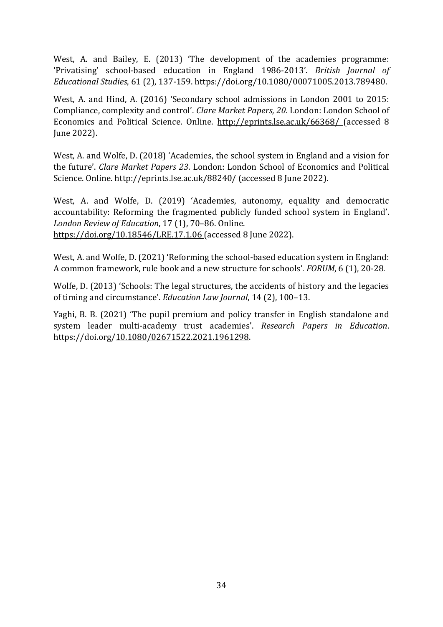West, A. and Bailey, E. (2013) 'The development of the academies programme: 'Privatising' school-based education in England 1986-2013'. *British Journal of Educational Studies*, 61 (2), 137-159. [https://doi.org/10.1080/00071005.2013.789480.](https://doi.org/10.1080/00071005.2013.789480)

West, A. and Hind, A. (2016) 'Secondary school admissions in London 2001 to 2015: Compliance, complexity and control'. *Clare Market Papers, 20*. London: London School of Economics and Political Science. Online. <http://eprints.lse.ac.uk/66368/> (accessed 8 June 2022).

West, A. and Wolfe, D. (2018) 'Academies, the school system in England and a vision for the future'. *Clare Market Papers 23*. London: London School of Economics and Political Science. Online. <http://eprints.lse.ac.uk/88240/> (accessed 8 June 2022).

West, A. and Wolfe, D. (2019) 'Academies, autonomy, equality and democratic accountability: Reforming the fragmented publicly funded school system in England'. *London Review of Education*, 17 (1), 70–86. Online. <https://doi.org/10.18546/LRE.17.1.06> (accessed 8 June 2022).

West, A. and Wolfe, D. (2021) 'Reforming the school-based education system in England: A common framework, rule book and a new structure for schools'. *FORUM*, 6 (1), 20-28.

Wolfe, D. (2013) 'Schools: The legal structures, the accidents of history and the legacies of timing and circumstance'. *Education Law Journal*, 14 (2), 100–13.

Yaghi, B. B. (2021) 'The pupil premium and policy transfer in English standalone and system leader multi-academy trust academies'. *Research Papers in Education*. https://doi.org[/10.1080/02671522.2021.1961298.](https://doi.org/10.1080/02671522.2021.1961298)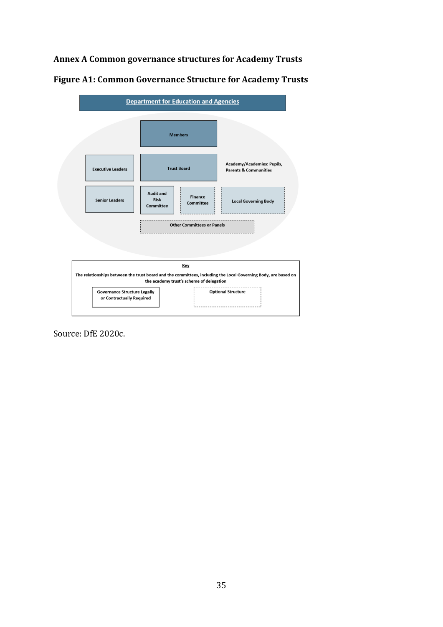## <span id="page-34-0"></span>**Annex A Common governance structures for Academy Trusts**

| <b>Department for Education and Agencies</b>                                                                                              |                                                                                    |                                                                |  |  |  |
|-------------------------------------------------------------------------------------------------------------------------------------------|------------------------------------------------------------------------------------|----------------------------------------------------------------|--|--|--|
|                                                                                                                                           | <b>Members</b>                                                                     |                                                                |  |  |  |
| <b>Executive Leaders</b>                                                                                                                  | <b>Trust Board</b>                                                                 | Academy/Academies: Pupils,<br><b>Parents &amp; Communities</b> |  |  |  |
| <b>Senior Leaders</b>                                                                                                                     | <b>Audit and</b><br><b>Finance</b><br><b>Risk</b><br>Committee<br><b>Committee</b> | <b>Local Governing Body</b>                                    |  |  |  |
| <b>Other Committees or Panels</b>                                                                                                         |                                                                                    |                                                                |  |  |  |
| Key<br>The relationships between the trust board and the committees, including the Local Governing Body, are based on                     |                                                                                    |                                                                |  |  |  |
| the academy trust's scheme of delegation<br><b>Optional Structure</b><br><b>Governance Structure Legally</b><br>or Contractually Required |                                                                                    |                                                                |  |  |  |

**Figure A1: Common Governance Structure for Academy Trusts** 

Source: DfE 2020c.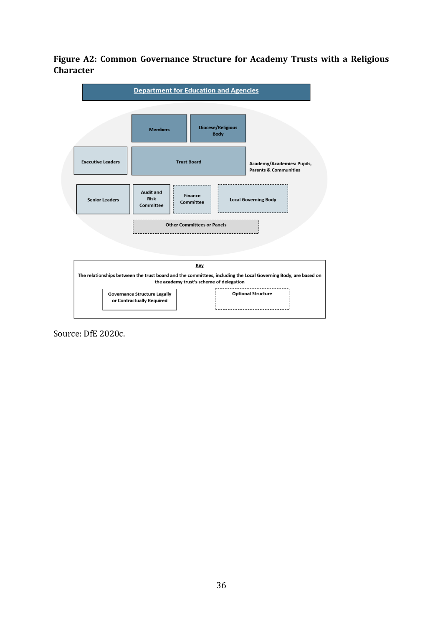## **Figure A2: Common Governance Structure for Academy Trusts with a Religious Character**



Source: DfE 2020c.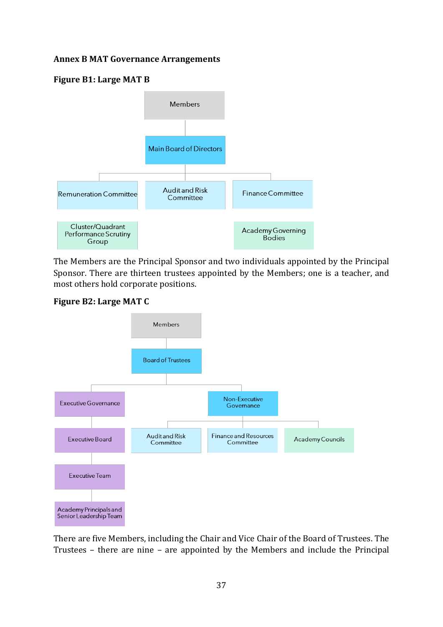#### <span id="page-36-0"></span>**Annex B MAT Governance Arrangements**

#### **Figure B1: Large MAT B**



The Members are the Principal Sponsor and two individuals appointed by the Principal Sponsor. There are thirteen trustees appointed by the Members; one is a teacher, and most others hold corporate positions.





There are five Members, including the Chair and Vice Chair of the Board of Trustees. The Trustees – there are nine – are appointed by the Members and include the Principal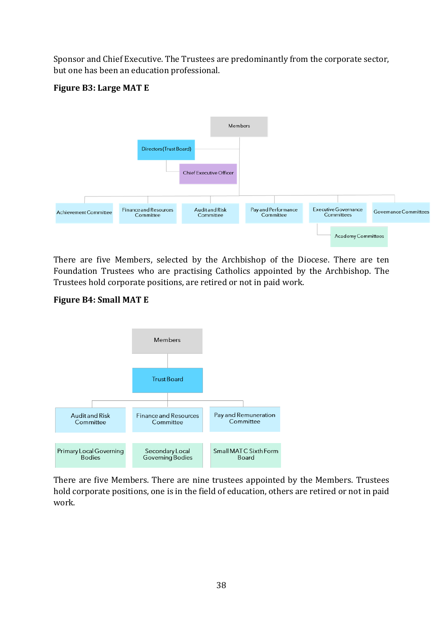Sponsor and Chief Executive. The Trustees are predominantly from the corporate sector, but one has been an education professional.

## **Figure B3: Large MAT E**



There are five Members, selected by the Archbishop of the Diocese. There are ten Foundation Trustees who are practising Catholics appointed by the Archbishop. The Trustees hold corporate positions, are retired or not in paid work.

## **Figure B4: Small MAT E**



There are five Members. There are nine trustees appointed by the Members. Trustees hold corporate positions, one is in the field of education, others are retired or not in paid work.